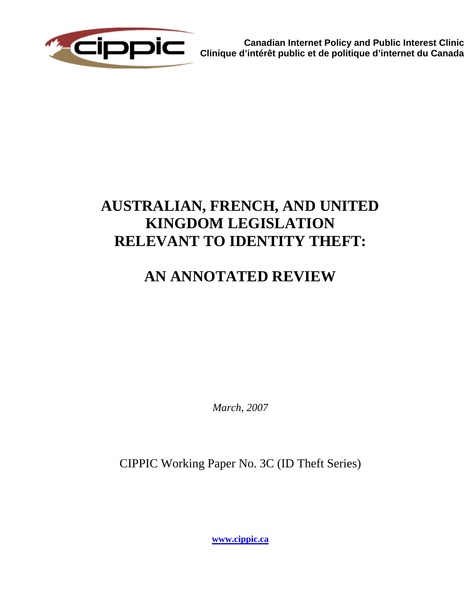

**Canadian Internet Policy and Public Interest Clinic Clinique d'intérêt public et de politique d'internet du Canada**

# **AUSTRALIAN, FRENCH, AND UNITED KINGDOM LEGISLATION RELEVANT TO IDENTITY THEFT:**

# **AN ANNOTATED REVIEW**

*March, 2007* 

CIPPIC Working Paper No. 3C (ID Theft Series)

**[www.cippic.ca](http://www.cippic.ca/)**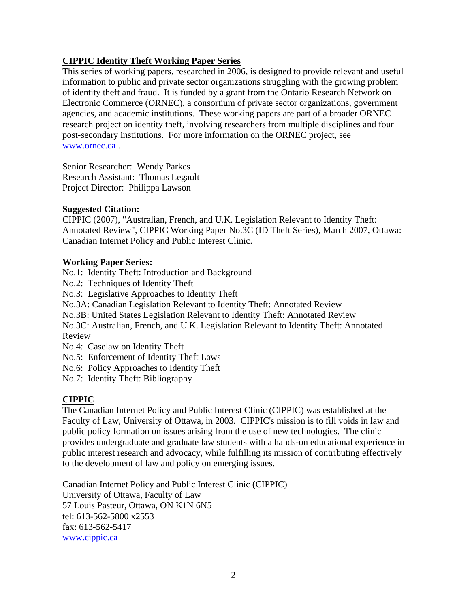# **CIPPIC Identity Theft Working Paper Series**

This series of working papers, researched in 2006, is designed to provide relevant and useful information to public and private sector organizations struggling with the growing problem of identity theft and fraud. It is funded by a grant from the Ontario Research Network on Electronic Commerce (ORNEC), a consortium of private sector organizations, government agencies, and academic institutions. These working papers are part of a broader ORNEC research project on identity theft, involving researchers from multiple disciplines and four post-secondary institutions. For more information on the ORNEC project, see www.ornec.ca.

Senior Researcher: Wendy Parkes Research Assistant: Thomas Legault Project Director: Philippa Lawson

# **Suggested Citation:**

CIPPIC (2007), "Australian, French, and U.K. Legislation Relevant to Identity Theft: Annotated Review", CIPPIC Working Paper No.3C (ID Theft Series), March 2007, Ottawa: Canadian Internet Policy and Public Interest Clinic.

# **Working Paper Series:**

No.1: Identity Theft: Introduction and Background

No.2: Techniques of Identity Theft

No.3: Legislative Approaches to Identity Theft

No.3A: Canadian Legislation Relevant to Identity Theft: Annotated Review

No.3B: United States Legislation Relevant to Identity Theft: Annotated Review

No.3C: Australian, French, and U.K. Legislation Relevant to Identity Theft: Annotated Review

No.4: Caselaw on Identity Theft

No.5: Enforcement of Identity Theft Laws

No.6: Policy Approaches to Identity Theft

No.7: Identity Theft: Bibliography

# **CIPPIC**

The Canadian Internet Policy and Public Interest Clinic (CIPPIC) was established at the Faculty of Law, University of Ottawa, in 2003. CIPPIC's mission is to fill voids in law and public policy formation on issues arising from the use of new technologies. The clinic provides undergraduate and graduate law students with a hands-on educational experience in public interest research and advocacy, while fulfilling its mission of contributing effectively to the development of law and policy on emerging issues.

Canadian Internet Policy and Public Interest Clinic (CIPPIC) University of Ottawa, Faculty of Law 57 Louis Pasteur, Ottawa, ON K1N 6N5 tel: 613-562-5800 x2553 fax: 613-562-5417 [www.cippic.ca](http://www.cippic.ca/)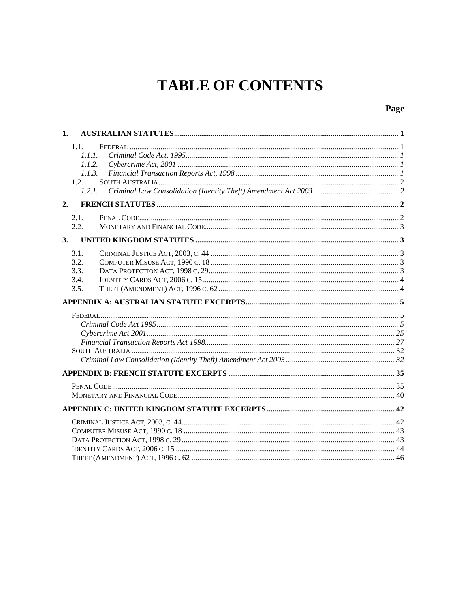# **TABLE OF CONTENTS**

# Page

| 1. |        |  |
|----|--------|--|
|    | 1.1.   |  |
|    | 1.1.1. |  |
|    | 1.1.2. |  |
|    | 1.1.3. |  |
|    | 1.2.   |  |
|    | 1.2.1. |  |
| 2. |        |  |
|    | 2.1.   |  |
|    | 2.2.   |  |
| 3. |        |  |
|    | 3.1.   |  |
|    | 3.2.   |  |
|    | 3.3.   |  |
|    | 3.4.   |  |
|    | 3.5.   |  |
|    |        |  |
|    |        |  |
|    |        |  |
|    |        |  |
|    |        |  |
|    |        |  |
|    |        |  |
|    |        |  |
|    |        |  |
|    |        |  |
|    |        |  |
|    |        |  |
|    |        |  |
|    |        |  |
|    |        |  |
|    |        |  |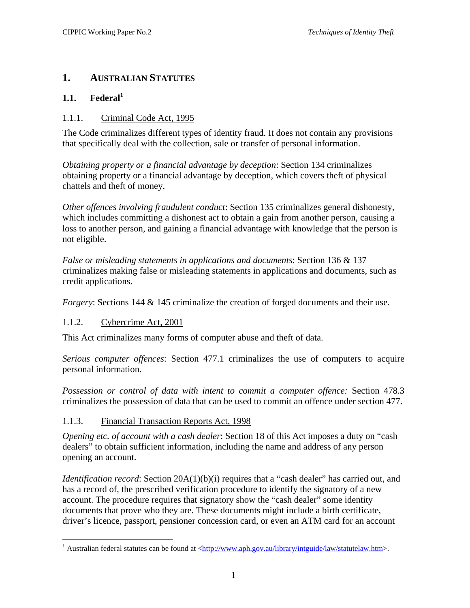# <span id="page-4-0"></span>**1. AUSTRALIAN STATUTES**

# **1.1. Federal[1](#page-4-1)**

# 1.1.1. Criminal Code Act, 1995

The Code criminalizes different types of identity fraud. It does not contain any provisions that specifically deal with the collection, sale or transfer of personal information.

*Obtaining property or a financial advantage by deception*: Section 134 criminalizes obtaining property or a financial advantage by deception, which covers theft of physical chattels and theft of money.

*Other offences involving fraudulent conduct*: Section 135 criminalizes general dishonesty, which includes committing a dishonest act to obtain a gain from another person, causing a loss to another person, and gaining a financial advantage with knowledge that the person is not eligible.

*False or misleading statements in applications and documents*: Section 136 & 137 criminalizes making false or misleading statements in applications and documents, such as credit applications.

*Forgery*: Sections 144 & 145 criminalize the creation of forged documents and their use.

# 1.1.2. Cybercrime Act, 2001

<u>.</u>

This Act criminalizes many forms of computer abuse and theft of data.

*Serious computer offences*: Section 477.1 criminalizes the use of computers to acquire personal information.

*Possession or control of data with intent to commit a computer offence:* Section 478.3 criminalizes the possession of data that can be used to commit an offence under section 477.

# 1.1.3. Financial Transaction Reports Act, 1998

*Opening etc. of account with a cash dealer*: Section 18 of this Act imposes a duty on "cash dealers" to obtain sufficient information, including the name and address of any person opening an account.

*Identification record*: Section 20A(1)(b)(i) requires that a "cash dealer" has carried out, and has a record of, the prescribed verification procedure to identify the signatory of a new account. The procedure requires that signatory show the "cash dealer" some identity documents that prove who they are. These documents might include a birth certificate, driver's licence, passport, pensioner concession card, or even an ATM card for an account

<span id="page-4-1"></span><sup>&</sup>lt;sup>1</sup> Australian federal statutes can be found at  $\frac{\text{http://www.aph.gov.au/library/intguide/law/staturelaw.htm}{\text{http://www.aph.gov.au/library/intguide/law/staturelaw.htm}}$ .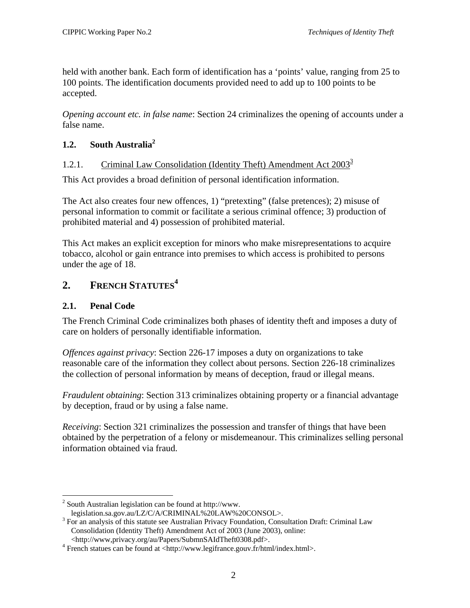<span id="page-5-0"></span>held with another bank. Each form of identification has a 'points' value, ranging from 25 to 100 points. The identification documents provided need to add up to 100 points to be accepted.

*Opening account etc. in false name*: Section 24 criminalizes the opening of accounts under a false name.

# **1.2. South Australi[a2](#page-5-1)**

# 1.2.1. Criminal Law Consolidation (Identity Theft) Amendment Act  $2003^3$

This Act provides a broad definition of personal identification information.

The Act also creates four new offences, 1) "pretexting" (false pretences); 2) misuse of personal information to commit or facilitate a serious criminal offence; 3) production of prohibited material and 4) possession of prohibited material.

This Act makes an explicit exception for minors who make misrepresentations to acquire tobacco, alcohol or gain entrance into premises to which access is prohibited to persons under the age of 18.

# **2. FRENCH STATUTES[4](#page-5-3)**

# **2.1. Penal Code**

1

The French Criminal Code criminalizes both phases of identity theft and imposes a duty of care on holders of personally identifiable information.

*Offences against privacy*: Section 226-17 imposes a duty on organizations to take reasonable care of the information they collect about persons. Section 226-18 criminalizes the collection of personal information by means of deception, fraud or illegal means.

*Fraudulent obtaining*: Section 313 criminalizes obtaining property or a financial advantage by deception, fraud or by using a false name.

*Receiving*: Section 321 criminalizes the possession and transfer of things that have been obtained by the perpetration of a felony or misdemeanour. This criminalizes selling personal information obtained via fraud.

<span id="page-5-1"></span> $2$  South Australian legislation can be found at http://www.

legislation.sa.gov.au/LZ/C/A/CRIMINAL%20LAW%20CONSOL>. 3

<span id="page-5-2"></span> $3$  For an analysis of this statute see Australian Privacy Foundation, Consultation Draft: Criminal Law Consolidation (Identity Theft) Amendment Act of 2003 (June 2003), online: <http://www,privacy.org/au/Papers/SubmnSAIdTheft0308.pdf>. 4

<span id="page-5-3"></span>French statues can be found at <http://www.legifrance.gouv.fr/html/index.html>.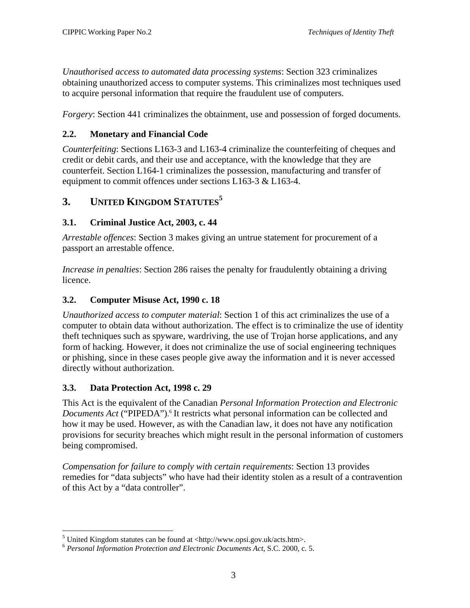<span id="page-6-0"></span>*Unauthorised access to automated data processing systems*: Section 323 criminalizes obtaining unauthorized access to computer systems. This criminalizes most techniques used to acquire personal information that require the fraudulent use of computers.

*Forgery:* Section 441 criminalizes the obtainment, use and possession of forged documents.

# **2.2. Monetary and Financial Code**

*Counterfeiting*: Sections L163-3 and L163-4 criminalize the counterfeiting of cheques and credit or debit cards, and their use and acceptance, with the knowledge that they are counterfeit. Section L164-1 criminalizes the possession, manufacturing and transfer of equipment to commit offences under sections L163-3 & L163-4.

# **3. UNITED KINGDOM STATUTES[5](#page-6-1)**

# **3.1. Criminal Justice Act, 2003, c. 44**

*Arrestable offences*: Section 3 makes giving an untrue statement for procurement of a passport an arrestable offence.

*Increase in penalties*: Section 286 raises the penalty for fraudulently obtaining a driving licence.

# **3.2. Computer Misuse Act, 1990 c. 18**

*Unauthorized access to computer material*: Section 1 of this act criminalizes the use of a computer to obtain data without authorization. The effect is to criminalize the use of identity theft techniques such as spyware, wardriving, the use of Trojan horse applications, and any form of hacking. However, it does not criminalize the use of social engineering techniques or phishing, since in these cases people give away the information and it is never accessed directly without authorization.

# **3.3. Data Protection Act, 1998 c. 29**

This Act is the equivalent of the Canadian *Personal Information Protection and Electronic Documents Act* ("PIPEDA"). [6](#page-6-2) It restricts what personal information can be collected and how it may be used. However, as with the Canadian law, it does not have any notification provisions for security breaches which might result in the personal information of customers being compromised.

*Compensation for failure to comply with certain requirements*: Section 13 provides remedies for "data subjects" who have had their identity stolen as a result of a contravention of this Act by a "data controller".

<span id="page-6-1"></span> $\frac{1}{5}$ 

<span id="page-6-2"></span><sup>&</sup>lt;sup>6</sup> Personal Information Protection and Electronic Documents Act, S.C. 2000, c. 5.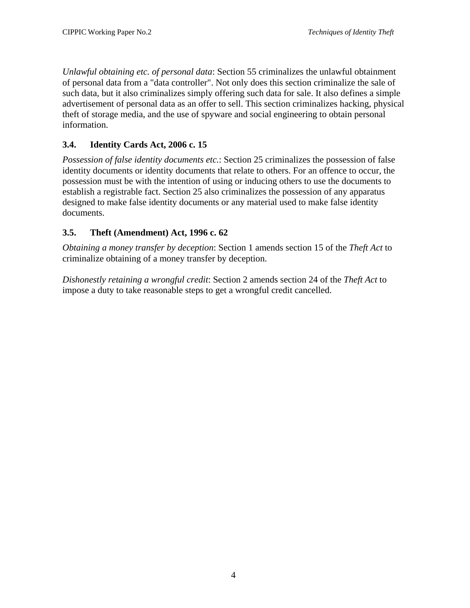<span id="page-7-0"></span>*Unlawful obtaining etc. of personal data*: Section 55 criminalizes the unlawful obtainment of personal data from a "data controller". Not only does this section criminalize the sale of such data, but it also criminalizes simply offering such data for sale. It also defines a simple advertisement of personal data as an offer to sell. This section criminalizes hacking, physical theft of storage media, and the use of spyware and social engineering to obtain personal information.

# **3.4. Identity Cards Act, 2006 c. 15**

*Possession of false identity documents etc.*: Section 25 criminalizes the possession of false identity documents or identity documents that relate to others. For an offence to occur, the possession must be with the intention of using or inducing others to use the documents to establish a registrable fact. Section 25 also criminalizes the possession of any apparatus designed to make false identity documents or any material used to make false identity documents.

# **3.5. Theft (Amendment) Act, 1996 c. 62**

*Obtaining a money transfer by deception*: Section 1 amends section 15 of the *Theft Act* to criminalize obtaining of a money transfer by deception.

*Dishonestly retaining a wrongful credit*: Section 2 amends section 24 of the *Theft Act* to impose a duty to take reasonable steps to get a wrongful credit cancelled.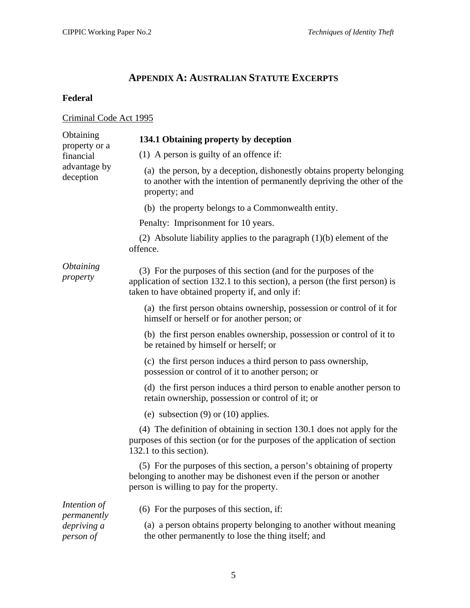# **APPENDIX A: AUSTRALIAN STATUTE EXCERPTS**

# <span id="page-8-0"></span>**Federal**

# Criminal Code Act 1995

| Obtaining<br>property or a                              | 134.1 Obtaining property by deception                                                                                                                                                                  |
|---------------------------------------------------------|--------------------------------------------------------------------------------------------------------------------------------------------------------------------------------------------------------|
| financial                                               | $(1)$ A person is guilty of an offence if:                                                                                                                                                             |
| advantage by<br>deception                               | (a) the person, by a deception, dishonestly obtains property belonging<br>to another with the intention of permanently depriving the other of the<br>property; and                                     |
|                                                         | (b) the property belongs to a Commonwealth entity.                                                                                                                                                     |
|                                                         | Penalty: Imprisonment for 10 years.                                                                                                                                                                    |
|                                                         | (2) Absolute liability applies to the paragraph $(1)(b)$ element of the<br>offence.                                                                                                                    |
| <i><b>Obtaining</b></i><br>property                     | (3) For the purposes of this section (and for the purposes of the<br>application of section 132.1 to this section), a person (the first person) is<br>taken to have obtained property if, and only if: |
|                                                         | (a) the first person obtains ownership, possession or control of it for<br>himself or herself or for another person; or                                                                                |
|                                                         | (b) the first person enables ownership, possession or control of it to<br>be retained by himself or herself; or                                                                                        |
|                                                         | (c) the first person induces a third person to pass ownership,<br>possession or control of it to another person; or                                                                                    |
|                                                         | (d) the first person induces a third person to enable another person to<br>retain ownership, possession or control of it; or                                                                           |
|                                                         | (e) subsection $(9)$ or $(10)$ applies.                                                                                                                                                                |
|                                                         | (4) The definition of obtaining in section 130.1 does not apply for the<br>purposes of this section (or for the purposes of the application of section<br>132.1 to this section).                      |
|                                                         | (5) For the purposes of this section, a person's obtaining of property<br>belonging to another may be dishonest even if the person or another<br>person is willing to pay for the property.            |
| Intention of<br>permanently<br>depriving a<br>person of | (6) For the purposes of this section, if:<br>(a) a person obtains property belonging to another without meaning<br>the other permanently to lose the thing itself; and                                 |
|                                                         |                                                                                                                                                                                                        |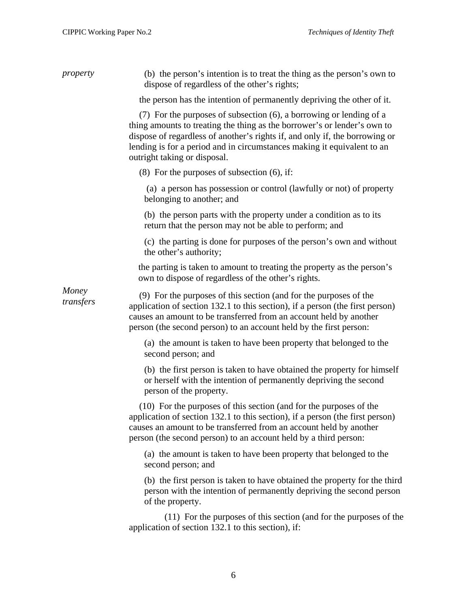| property           | (b) the person's intention is to treat the thing as the person's own to<br>dispose of regardless of the other's rights;                                                                                                                                                                                                                   |
|--------------------|-------------------------------------------------------------------------------------------------------------------------------------------------------------------------------------------------------------------------------------------------------------------------------------------------------------------------------------------|
|                    | the person has the intention of permanently depriving the other of it.                                                                                                                                                                                                                                                                    |
|                    | (7) For the purposes of subsection (6), a borrowing or lending of a<br>thing amounts to treating the thing as the borrower's or lender's own to<br>dispose of regardless of another's rights if, and only if, the borrowing or<br>lending is for a period and in circumstances making it equivalent to an<br>outright taking or disposal. |
|                    | $(8)$ For the purposes of subsection $(6)$ , if:                                                                                                                                                                                                                                                                                          |
|                    | (a) a person has possession or control (lawfully or not) of property<br>belonging to another; and                                                                                                                                                                                                                                         |
|                    | (b) the person parts with the property under a condition as to its<br>return that the person may not be able to perform; and                                                                                                                                                                                                              |
|                    | (c) the parting is done for purposes of the person's own and without<br>the other's authority;                                                                                                                                                                                                                                            |
|                    | the parting is taken to amount to treating the property as the person's<br>own to dispose of regardless of the other's rights.                                                                                                                                                                                                            |
| Money<br>transfers | (9) For the purposes of this section (and for the purposes of the<br>application of section 132.1 to this section), if a person (the first person)<br>causes an amount to be transferred from an account held by another<br>person (the second person) to an account held by the first person:                                            |
|                    | (a) the amount is taken to have been property that belonged to the<br>second person; and                                                                                                                                                                                                                                                  |
|                    | (b) the first person is taken to have obtained the property for himself<br>or herself with the intention of permanently depriving the second<br>person of the property.                                                                                                                                                                   |
|                    | (10) For the purposes of this section (and for the purposes of the<br>application of section 132.1 to this section), if a person (the first person)<br>causes an amount to be transferred from an account held by another<br>person (the second person) to an account held by a third person:                                             |
|                    | (a) the amount is taken to have been property that belonged to the<br>second person; and                                                                                                                                                                                                                                                  |
|                    | (b) the first person is taken to have obtained the property for the third<br>person with the intention of permanently depriving the second person<br>of the property.                                                                                                                                                                     |
|                    | (11) For the purposes of this section (and for the purposes of the<br>application of section 132.1 to this section), if:                                                                                                                                                                                                                  |
|                    |                                                                                                                                                                                                                                                                                                                                           |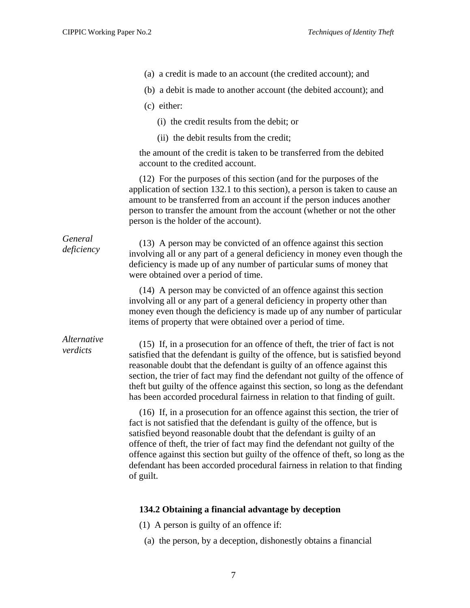- (a) a credit is made to an account (the credited account); and
	- (b) a debit is made to another account (the debited account); and
	- (c) either:
		- (i) the credit results from the debit; or
		- (ii) the debit results from the credit;

the amount of the credit is taken to be transferred from the debited account to the credited account.

(12) For the purposes of this section (and for the purposes of the application of section 132.1 to this section), a person is taken to cause an amount to be transferred from an account if the person induces another person to transfer the amount from the account (whether or not the other person is the holder of the account).

*General* 

*deficiency* (13) A person may be convicted of an offence against this section *deficiency* in monoy symptoms in the section involving all or any part of a general deficiency in money even though the deficiency is made up of any number of particular sums of money that were obtained over a period of time.

> (14) A person may be convicted of an offence against this section involving all or any part of a general deficiency in property other than money even though the deficiency is made up of any number of particular items of property that were obtained over a period of time.

# *Alternative*

*verdicts* (15) If, in a prosecution for an offence of theft, the trier of fact is not verdicts satisfied that the defendant is guilty of the offence, but is satisfied beyond reasonable doubt that the defendant is guilty of an offence against this section, the trier of fact may find the defendant not guilty of the offence of theft but guilty of the offence against this section, so long as the defendant has been accorded procedural fairness in relation to that finding of guilt.

> (16) If, in a prosecution for an offence against this section, the trier of fact is not satisfied that the defendant is guilty of the offence, but is satisfied beyond reasonable doubt that the defendant is guilty of an offence of theft, the trier of fact may find the defendant not guilty of the offence against this section but guilty of the offence of theft, so long as the defendant has been accorded procedural fairness in relation to that finding of guilt.

#### **134.2 Obtaining a financial advantage by deception**

- (1) A person is guilty of an offence if:
- (a) the person, by a deception, dishonestly obtains a financial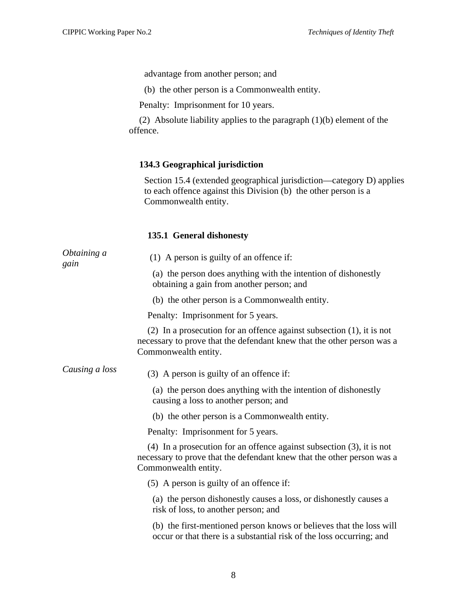advantage from another person; and

(b) the other person is a Commonwealth entity.

Penalty: Imprisonment for 10 years.

(2) Absolute liability applies to the paragraph (1)(b) element of the offence.

# **134.3 Geographical jurisdiction**

Section 15.4 (extended geographical jurisdiction—category D) applies to each offence against this Division (b) the other person is a Commonwealth entity.

# **135.1 General dishonesty**

| Obtaining a    |                                                                                                                                                                            |
|----------------|----------------------------------------------------------------------------------------------------------------------------------------------------------------------------|
| gain           | $(1)$ A person is guilty of an offence if:                                                                                                                                 |
|                | (a) the person does anything with the intention of dishonestly<br>obtaining a gain from another person; and                                                                |
|                | (b) the other person is a Commonwealth entity.                                                                                                                             |
|                | Penalty: Imprisonment for 5 years.                                                                                                                                         |
|                | (2) In a prosecution for an offence against subsection $(1)$ , it is not<br>necessary to prove that the defendant knew that the other person was a<br>Commonwealth entity. |
| Causing a loss | (3) A person is guilty of an offence if:                                                                                                                                   |
|                | (a) the person does anything with the intention of dishonestly<br>causing a loss to another person; and                                                                    |
|                | (b) the other person is a Commonwealth entity.                                                                                                                             |
|                | Penalty: Imprisonment for 5 years.                                                                                                                                         |
|                | (4) In a prosecution for an offence against subsection $(3)$ , it is not<br>necessary to prove that the defendant knew that the other person was a<br>Commonwealth entity. |
|                | $(5)$ A person is guilty of an offence if:                                                                                                                                 |
|                | (a) the person dishonestly causes a loss, or dishonestly causes a<br>risk of loss, to another person; and                                                                  |
|                | (b) the first-mentioned person knows or believes that the loss will<br>occur or that there is a substantial risk of the loss occurring; and                                |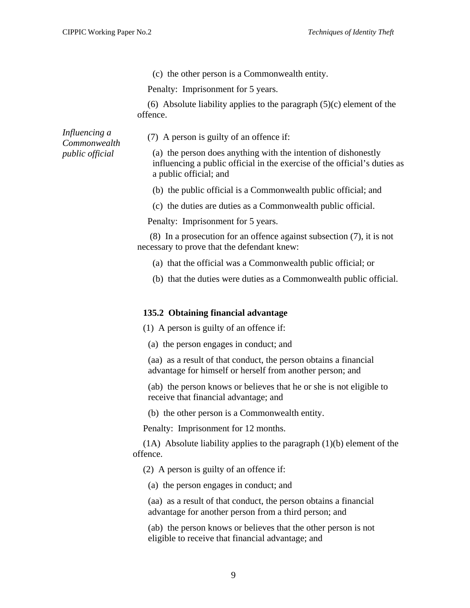(c) the other person is a Commonwealth entity.

Penalty: Imprisonment for 5 years.

(6) Absolute liability applies to the paragraph  $(5)(c)$  element of the offence.

*Influencing a Commonwealth public official* 

(7) A person is guilty of an offence if:

(a) the person does anything with the intention of dishonestly influencing a public official in the exercise of the official's duties as a public official; and

(b) the public official is a Commonwealth public official; and

(c) the duties are duties as a Commonwealth public official.

Penalty: Imprisonment for 5 years.

 (8) In a prosecution for an offence against subsection (7), it is not necessary to prove that the defendant knew:

- (a) that the official was a Commonwealth public official; or
- (b) that the duties were duties as a Commonwealth public official.

#### **135.2 Obtaining financial advantage**

(1) A person is guilty of an offence if:

(a) the person engages in conduct; and

(aa) as a result of that conduct, the person obtains a financial advantage for himself or herself from another person; and

(ab) the person knows or believes that he or she is not eligible to receive that financial advantage; and

(b) the other person is a Commonwealth entity.

Penalty: Imprisonment for 12 months.

(1A) Absolute liability applies to the paragraph (1)(b) element of the offence.

(2) A person is guilty of an offence if:

(a) the person engages in conduct; and

(aa) as a result of that conduct, the person obtains a financial advantage for another person from a third person; and

(ab) the person knows or believes that the other person is not eligible to receive that financial advantage; and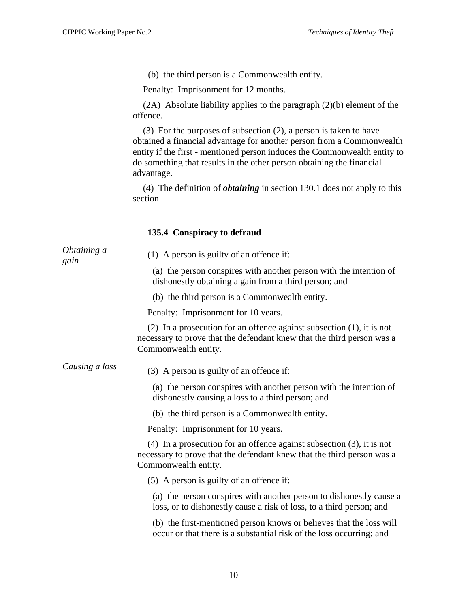(b) the third person is a Commonwealth entity.

Penalty: Imprisonment for 12 months.

(2A) Absolute liability applies to the paragraph (2)(b) element of the offence.

(3) For the purposes of subsection (2), a person is taken to have obtained a financial advantage for another person from a Commonwealth entity if the first - mentioned person induces the Commonwealth entity to do something that results in the other person obtaining the financial advantage.

(4) The definition of *obtaining* in section 130.1 does not apply to this section.

#### **135.4 Conspiracy to defraud**

| Obtaining a<br>gain | $(1)$ A person is guilty of an offence if:                                                                                                                                   |
|---------------------|------------------------------------------------------------------------------------------------------------------------------------------------------------------------------|
|                     | (a) the person conspires with another person with the intention of<br>dishonestly obtaining a gain from a third person; and                                                  |
|                     | (b) the third person is a Commonwealth entity.                                                                                                                               |
|                     | Penalty: Imprisonment for 10 years.                                                                                                                                          |
|                     | (2) In a prosecution for an offence against subsection $(1)$ , it is not<br>necessary to prove that the defendant knew that the third person was a<br>Commonwealth entity.   |
| Causing a loss      | (3) A person is guilty of an offence if:                                                                                                                                     |
|                     | (a) the person conspires with another person with the intention of<br>dishonestly causing a loss to a third person; and                                                      |
|                     | (b) the third person is a Commonwealth entity.                                                                                                                               |
|                     | Penalty: Imprisonment for 10 years.                                                                                                                                          |
|                     | $(4)$ In a prosecution for an offence against subsection $(3)$ , it is not<br>necessary to prove that the defendant knew that the third person was a<br>Commonwealth entity. |
|                     | (5) A person is guilty of an offence if:                                                                                                                                     |
|                     | (a) the person conspires with another person to dishonestly cause a<br>loss, or to dishonestly cause a risk of loss, to a third person; and                                  |
|                     | (b) the first-mentioned person knows or believes that the loss will<br>occur or that there is a substantial risk of the loss occurring; and                                  |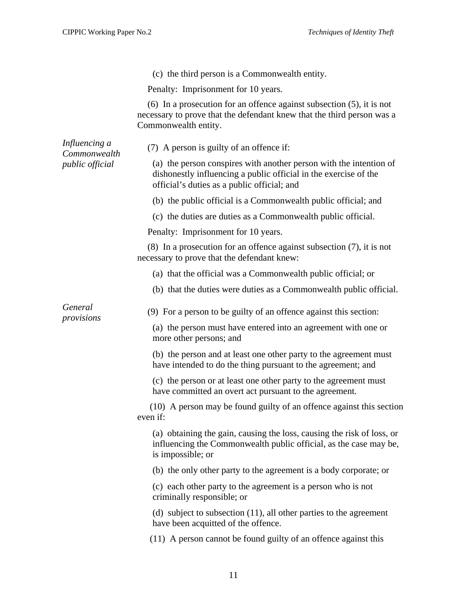|                               | (c) the third person is a Commonwealth entity.                                                                                                                                        |
|-------------------------------|---------------------------------------------------------------------------------------------------------------------------------------------------------------------------------------|
|                               | Penalty: Imprisonment for 10 years.                                                                                                                                                   |
|                               | (6) In a prosecution for an offence against subsection $(5)$ , it is not<br>necessary to prove that the defendant knew that the third person was a<br>Commonwealth entity.            |
| Influencing a<br>Commonwealth | (7) A person is guilty of an offence if:                                                                                                                                              |
| public official               | (a) the person conspires with another person with the intention of<br>dishonestly influencing a public official in the exercise of the<br>official's duties as a public official; and |
|                               | (b) the public official is a Commonwealth public official; and                                                                                                                        |
|                               | (c) the duties are duties as a Commonwealth public official.                                                                                                                          |
|                               | Penalty: Imprisonment for 10 years.                                                                                                                                                   |
|                               | $(8)$ In a prosecution for an offence against subsection $(7)$ , it is not<br>necessary to prove that the defendant knew:                                                             |
|                               | (a) that the official was a Commonwealth public official; or                                                                                                                          |
|                               | (b) that the duties were duties as a Commonwealth public official.                                                                                                                    |
| General<br>provisions         | (9) For a person to be guilty of an offence against this section:                                                                                                                     |
|                               | (a) the person must have entered into an agreement with one or<br>more other persons; and                                                                                             |
|                               | (b) the person and at least one other party to the agreement must<br>have intended to do the thing pursuant to the agreement; and                                                     |
|                               | (c) the person or at least one other party to the agreement must<br>have committed an overt act pursuant to the agreement.                                                            |
|                               | (10) A person may be found guilty of an offence against this section<br>even if:                                                                                                      |
|                               | (a) obtaining the gain, causing the loss, causing the risk of loss, or<br>influencing the Commonwealth public official, as the case may be,<br>is impossible; or                      |
|                               | (b) the only other party to the agreement is a body corporate; or                                                                                                                     |
|                               | (c) each other party to the agreement is a person who is not<br>criminally responsible; or                                                                                            |
|                               | (d) subject to subsection $(11)$ , all other parties to the agreement<br>have been acquitted of the offence.                                                                          |
|                               | (11) A person cannot be found guilty of an offence against this                                                                                                                       |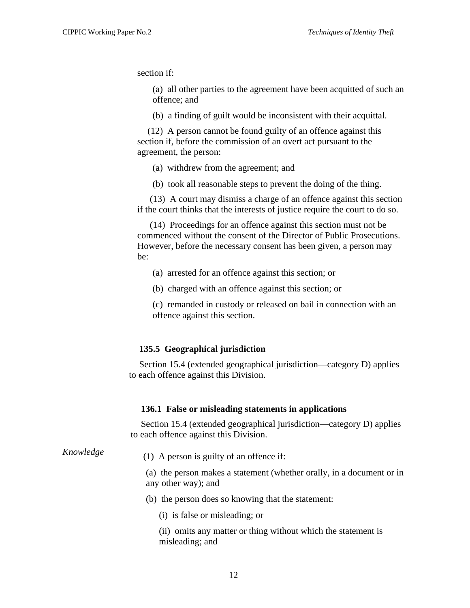section if:

(a) all other parties to the agreement have been acquitted of such an offence; and

(b) a finding of guilt would be inconsistent with their acquittal.

(12) A person cannot be found guilty of an offence against this section if, before the commission of an overt act pursuant to the agreement, the person:

(a) withdrew from the agreement; and

(b) took all reasonable steps to prevent the doing of the thing.

 (13) A court may dismiss a charge of an offence against this section if the court thinks that the interests of justice require the court to do so.

 (14) Proceedings for an offence against this section must not be commenced without the consent of the Director of Public Prosecutions. However, before the necessary consent has been given, a person may be:

- (a) arrested for an offence against this section; or
- (b) charged with an offence against this section; or

(c) remanded in custody or released on bail in connection with an offence against this section.

#### **135.5 Geographical jurisdiction**

Section 15.4 (extended geographical jurisdiction—category D) applies to each offence against this Division.

#### **136.1 False or misleading statements in applications**

Section 15.4 (extended geographical jurisdiction—category D) applies to each offence against this Division.

*Knowledge* (1) A person is guilty of an offence if:

(a) the person makes a statement (whether orally, in a document or in any other way); and

- (b) the person does so knowing that the statement:
	- (i) is false or misleading; or

(ii) omits any matter or thing without which the statement is misleading; and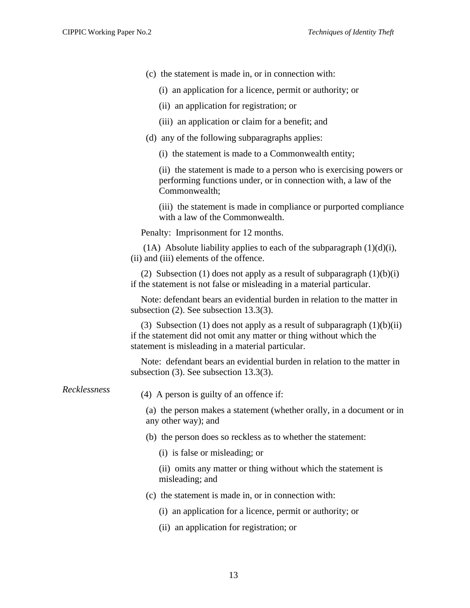- (c) the statement is made in, or in connection with:
	- (i) an application for a licence, permit or authority; or
	- (ii) an application for registration; or
	- (iii) an application or claim for a benefit; and
- (d) any of the following subparagraphs applies:
	- (i) the statement is made to a Commonwealth entity;

(ii) the statement is made to a person who is exercising powers or performing functions under, or in connection with, a law of the Commonwealth;

(iii) the statement is made in compliance or purported compliance with a law of the Commonwealth.

Penalty: Imprisonment for 12 months.

(1A) Absolute liability applies to each of the subparagraph  $(1)(d)(i)$ , (ii) and (iii) elements of the offence.

(2) Subsection (1) does not apply as a result of subparagraph  $(1)(b)(i)$ if the statement is not false or misleading in a material particular.

Note: defendant bears an evidential burden in relation to the matter in subsection (2). See subsection 13.3(3).

(3) Subsection (1) does not apply as a result of subparagraph  $(1)(b)(ii)$ if the statement did not omit any matter or thing without which the statement is misleading in a material particular.

Note: defendant bears an evidential burden in relation to the matter in subsection (3). See subsection 13.3(3).

*Recklessness* (4) A person is guilty of an offence if:

(a) the person makes a statement (whether orally, in a document or in any other way); and

- (b) the person does so reckless as to whether the statement:
	- (i) is false or misleading; or

(ii) omits any matter or thing without which the statement is misleading; and

- (c) the statement is made in, or in connection with:
	- (i) an application for a licence, permit or authority; or
	- (ii) an application for registration; or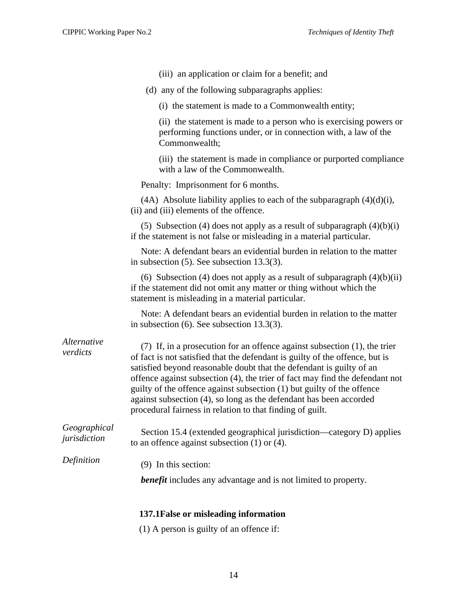- (iii) an application or claim for a benefit; and
- (d) any of the following subparagraphs applies:
	- (i) the statement is made to a Commonwealth entity;

(ii) the statement is made to a person who is exercising powers or performing functions under, or in connection with, a law of the Commonwealth;

(iii) the statement is made in compliance or purported compliance with a law of the Commonwealth.

Penalty: Imprisonment for 6 months.

|                                         | $(AA)$ Absolute liability applies to each of the subparagraph $(4)(d)(i)$ , |  |
|-----------------------------------------|-----------------------------------------------------------------------------|--|
| (ii) and (iii) elements of the offence. |                                                                             |  |

(5) Subsection (4) does not apply as a result of subparagraph  $(4)(b)(i)$ if the statement is not false or misleading in a material particular.

Note: A defendant bears an evidential burden in relation to the matter in subsection (5). See subsection 13.3(3).

(6) Subsection (4) does not apply as a result of subparagraph  $(4)(b)(ii)$ if the statement did not omit any matter or thing without which the statement is misleading in a material particular.

Note: A defendant bears an evidential burden in relation to the matter in subsection (6). See subsection 13.3(3).

*Alternative* 

*verdicts* (7) If, in a prosecution for an offence against subsection (1), the trier of fact is not satisfied that the defendant is guilty of the offence, but is satisfied beyond reasonable doubt that the defendant is guilty of an offence against subsection (4), the trier of fact may find the defendant not guilty of the offence against subsection (1) but guilty of the offence against subsection (4), so long as the defendant has been accorded procedural fairness in relation to that finding of guilt.

*Geographical Jeographical* **Section 15.4 (extended geographical jurisdiction—category D) applies** *jurisdiction* to an offence against subsection (1) or (4).

*Definition* (9) In this section:

*benefit* includes any advantage and is not limited to property.

#### **137.1False or misleading information**

(1) A person is guilty of an offence if: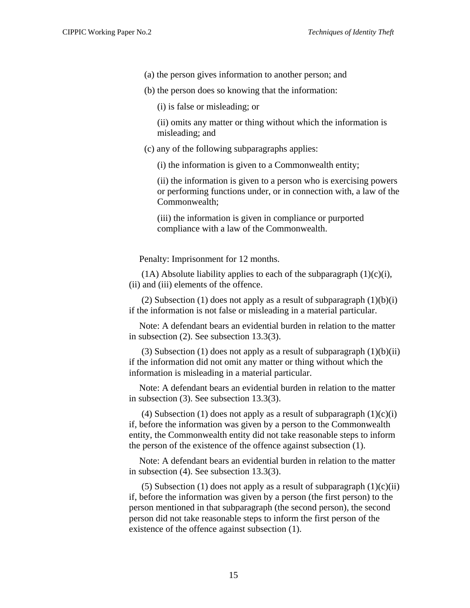- (a) the person gives information to another person; and
- (b) the person does so knowing that the information:

(i) is false or misleading; or

(ii) omits any matter or thing without which the information is misleading; and

(c) any of the following subparagraphs applies:

(i) the information is given to a Commonwealth entity;

(ii) the information is given to a person who is exercising powers or performing functions under, or in connection with, a law of the Commonwealth;

(iii) the information is given in compliance or purported compliance with a law of the Commonwealth.

Penalty: Imprisonment for 12 months.

(1A) Absolute liability applies to each of the subparagraph  $(1)(c)(i)$ , (ii) and (iii) elements of the offence.

(2) Subsection (1) does not apply as a result of subparagraph  $(1)(b)(i)$ if the information is not false or misleading in a material particular.

Note: A defendant bears an evidential burden in relation to the matter in subsection (2). See subsection 13.3(3).

(3) Subsection (1) does not apply as a result of subparagraph  $(1)(b)(ii)$ if the information did not omit any matter or thing without which the information is misleading in a material particular.

Note: A defendant bears an evidential burden in relation to the matter in subsection (3). See subsection 13.3(3).

(4) Subsection (1) does not apply as a result of subparagraph  $(1)(c)(i)$ if, before the information was given by a person to the Commonwealth entity, the Commonwealth entity did not take reasonable steps to inform the person of the existence of the offence against subsection (1).

Note: A defendant bears an evidential burden in relation to the matter in subsection (4). See subsection 13.3(3).

(5) Subsection (1) does not apply as a result of subparagraph  $(1)(c)(ii)$ if, before the information was given by a person (the first person) to the person mentioned in that subparagraph (the second person), the second person did not take reasonable steps to inform the first person of the existence of the offence against subsection (1).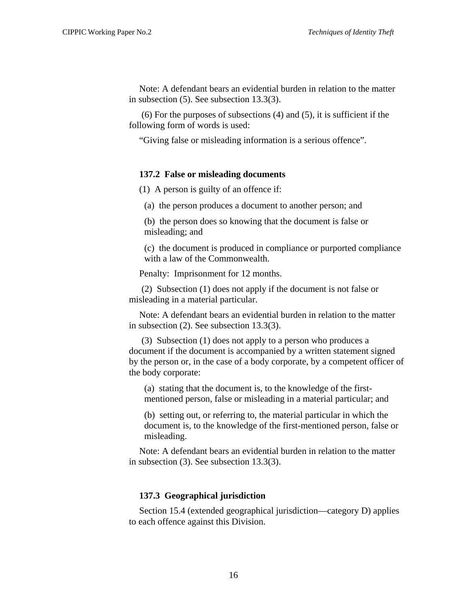Note: A defendant bears an evidential burden in relation to the matter in subsection (5). See subsection 13.3(3).

 (6) For the purposes of subsections (4) and (5), it is sufficient if the following form of words is used:

"Giving false or misleading information is a serious offence".

#### **137.2 False or misleading documents**

(1) A person is guilty of an offence if:

(a) the person produces a document to another person; and

(b) the person does so knowing that the document is false or misleading; and

(c) the document is produced in compliance or purported compliance with a law of the Commonwealth.

Penalty: Imprisonment for 12 months.

 (2) Subsection (1) does not apply if the document is not false or misleading in a material particular.

Note: A defendant bears an evidential burden in relation to the matter in subsection (2). See subsection 13.3(3).

 (3) Subsection (1) does not apply to a person who produces a document if the document is accompanied by a written statement signed by the person or, in the case of a body corporate, by a competent officer of the body corporate:

(a) stating that the document is, to the knowledge of the firstmentioned person, false or misleading in a material particular; and

(b) setting out, or referring to, the material particular in which the document is, to the knowledge of the first-mentioned person, false or misleading.

Note: A defendant bears an evidential burden in relation to the matter in subsection (3). See subsection 13.3(3).

#### **137.3 Geographical jurisdiction**

Section 15.4 (extended geographical jurisdiction—category D) applies to each offence against this Division.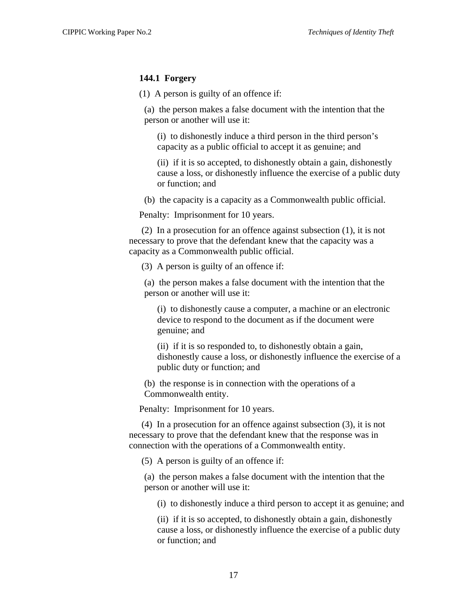#### **144.1 Forgery**

(1) A person is guilty of an offence if:

(a) the person makes a false document with the intention that the person or another will use it:

(i) to dishonestly induce a third person in the third person's capacity as a public official to accept it as genuine; and

(ii) if it is so accepted, to dishonestly obtain a gain, dishonestly cause a loss, or dishonestly influence the exercise of a public duty or function; and

(b) the capacity is a capacity as a Commonwealth public official.

Penalty: Imprisonment for 10 years.

 (2) In a prosecution for an offence against subsection (1), it is not necessary to prove that the defendant knew that the capacity was a capacity as a Commonwealth public official.

(3) A person is guilty of an offence if:

(a) the person makes a false document with the intention that the person or another will use it:

(i) to dishonestly cause a computer, a machine or an electronic device to respond to the document as if the document were genuine; and

(ii) if it is so responded to, to dishonestly obtain a gain, dishonestly cause a loss, or dishonestly influence the exercise of a public duty or function; and

(b) the response is in connection with the operations of a Commonwealth entity.

Penalty: Imprisonment for 10 years.

 (4) In a prosecution for an offence against subsection (3), it is not necessary to prove that the defendant knew that the response was in connection with the operations of a Commonwealth entity.

(5) A person is guilty of an offence if:

(a) the person makes a false document with the intention that the person or another will use it:

(i) to dishonestly induce a third person to accept it as genuine; and

(ii) if it is so accepted, to dishonestly obtain a gain, dishonestly cause a loss, or dishonestly influence the exercise of a public duty or function; and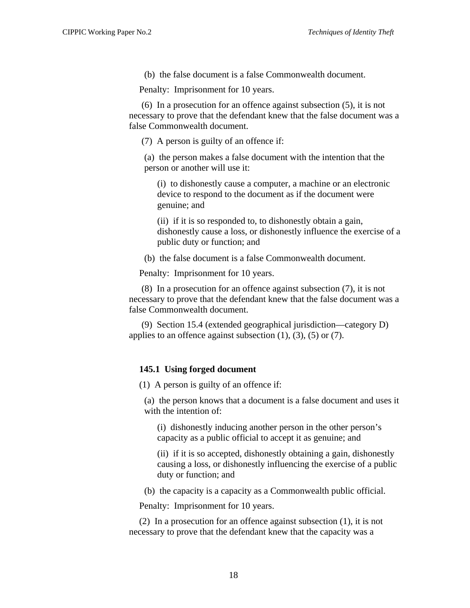(b) the false document is a false Commonwealth document.

Penalty: Imprisonment for 10 years.

 (6) In a prosecution for an offence against subsection (5), it is not necessary to prove that the defendant knew that the false document was a false Commonwealth document.

(7) A person is guilty of an offence if:

(a) the person makes a false document with the intention that the person or another will use it:

(i) to dishonestly cause a computer, a machine or an electronic device to respond to the document as if the document were genuine; and

(ii) if it is so responded to, to dishonestly obtain a gain, dishonestly cause a loss, or dishonestly influence the exercise of a public duty or function; and

(b) the false document is a false Commonwealth document.

Penalty: Imprisonment for 10 years.

 (8) In a prosecution for an offence against subsection (7), it is not necessary to prove that the defendant knew that the false document was a false Commonwealth document.

 (9) Section 15.4 (extended geographical jurisdiction—category D) applies to an offence against subsection  $(1)$ ,  $(3)$ ,  $(5)$  or  $(7)$ .

# **145.1 Using forged document**

(1) A person is guilty of an offence if:

(a) the person knows that a document is a false document and uses it with the intention of:

(i) dishonestly inducing another person in the other person's capacity as a public official to accept it as genuine; and

(ii) if it is so accepted, dishonestly obtaining a gain, dishonestly causing a loss, or dishonestly influencing the exercise of a public duty or function; and

(b) the capacity is a capacity as a Commonwealth public official.

Penalty: Imprisonment for 10 years.

(2) In a prosecution for an offence against subsection (1), it is not necessary to prove that the defendant knew that the capacity was a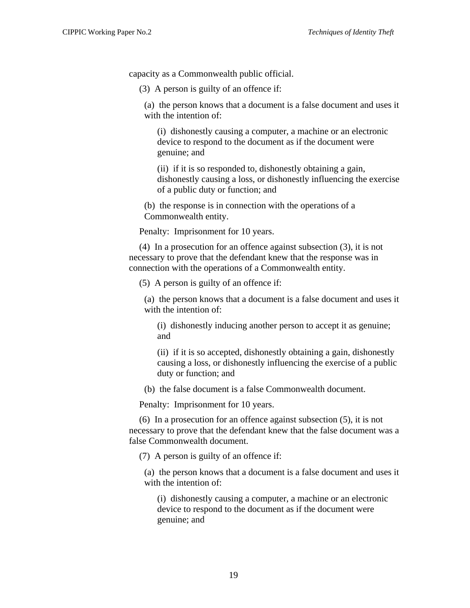capacity as a Commonwealth public official.

(3) A person is guilty of an offence if:

(a) the person knows that a document is a false document and uses it with the intention of:

(i) dishonestly causing a computer, a machine or an electronic device to respond to the document as if the document were genuine; and

(ii) if it is so responded to, dishonestly obtaining a gain, dishonestly causing a loss, or dishonestly influencing the exercise of a public duty or function; and

(b) the response is in connection with the operations of a Commonwealth entity.

Penalty: Imprisonment for 10 years.

(4) In a prosecution for an offence against subsection (3), it is not necessary to prove that the defendant knew that the response was in connection with the operations of a Commonwealth entity.

(5) A person is guilty of an offence if:

(a) the person knows that a document is a false document and uses it with the intention of:

(i) dishonestly inducing another person to accept it as genuine; and

(ii) if it is so accepted, dishonestly obtaining a gain, dishonestly causing a loss, or dishonestly influencing the exercise of a public duty or function; and

(b) the false document is a false Commonwealth document.

Penalty: Imprisonment for 10 years.

(6) In a prosecution for an offence against subsection (5), it is not necessary to prove that the defendant knew that the false document was a false Commonwealth document.

(7) A person is guilty of an offence if:

(a) the person knows that a document is a false document and uses it with the intention of:

(i) dishonestly causing a computer, a machine or an electronic device to respond to the document as if the document were genuine; and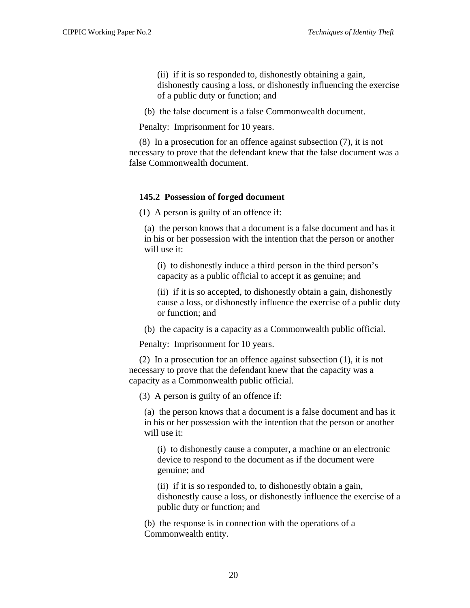(ii) if it is so responded to, dishonestly obtaining a gain, dishonestly causing a loss, or dishonestly influencing the exercise of a public duty or function; and

(b) the false document is a false Commonwealth document.

Penalty: Imprisonment for 10 years.

(8) In a prosecution for an offence against subsection (7), it is not necessary to prove that the defendant knew that the false document was a false Commonwealth document.

#### **145.2 Possession of forged document**

(1) A person is guilty of an offence if:

(a) the person knows that a document is a false document and has it in his or her possession with the intention that the person or another will use it:

(i) to dishonestly induce a third person in the third person's capacity as a public official to accept it as genuine; and

(ii) if it is so accepted, to dishonestly obtain a gain, dishonestly cause a loss, or dishonestly influence the exercise of a public duty or function; and

(b) the capacity is a capacity as a Commonwealth public official.

Penalty: Imprisonment for 10 years.

(2) In a prosecution for an offence against subsection (1), it is not necessary to prove that the defendant knew that the capacity was a capacity as a Commonwealth public official.

(3) A person is guilty of an offence if:

(a) the person knows that a document is a false document and has it in his or her possession with the intention that the person or another will use it:

(i) to dishonestly cause a computer, a machine or an electronic device to respond to the document as if the document were genuine; and

(ii) if it is so responded to, to dishonestly obtain a gain, dishonestly cause a loss, or dishonestly influence the exercise of a public duty or function; and

(b) the response is in connection with the operations of a Commonwealth entity.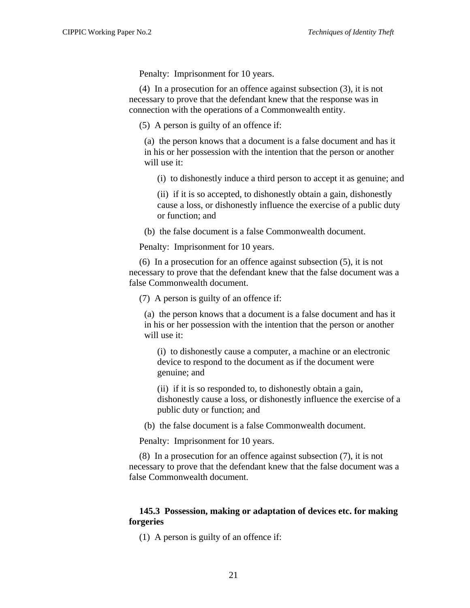Penalty: Imprisonment for 10 years.

(4) In a prosecution for an offence against subsection (3), it is not necessary to prove that the defendant knew that the response was in connection with the operations of a Commonwealth entity.

(5) A person is guilty of an offence if:

(a) the person knows that a document is a false document and has it in his or her possession with the intention that the person or another will use it:

(i) to dishonestly induce a third person to accept it as genuine; and

(ii) if it is so accepted, to dishonestly obtain a gain, dishonestly cause a loss, or dishonestly influence the exercise of a public duty or function; and

(b) the false document is a false Commonwealth document.

Penalty: Imprisonment for 10 years.

(6) In a prosecution for an offence against subsection (5), it is not necessary to prove that the defendant knew that the false document was a false Commonwealth document.

(7) A person is guilty of an offence if:

(a) the person knows that a document is a false document and has it in his or her possession with the intention that the person or another will use it:

(i) to dishonestly cause a computer, a machine or an electronic device to respond to the document as if the document were genuine; and

(ii) if it is so responded to, to dishonestly obtain a gain, dishonestly cause a loss, or dishonestly influence the exercise of a public duty or function; and

(b) the false document is a false Commonwealth document.

Penalty: Imprisonment for 10 years.

(8) In a prosecution for an offence against subsection (7), it is not necessary to prove that the defendant knew that the false document was a false Commonwealth document.

# **145.3 Possession, making or adaptation of devices etc. for making forgeries**

(1) A person is guilty of an offence if: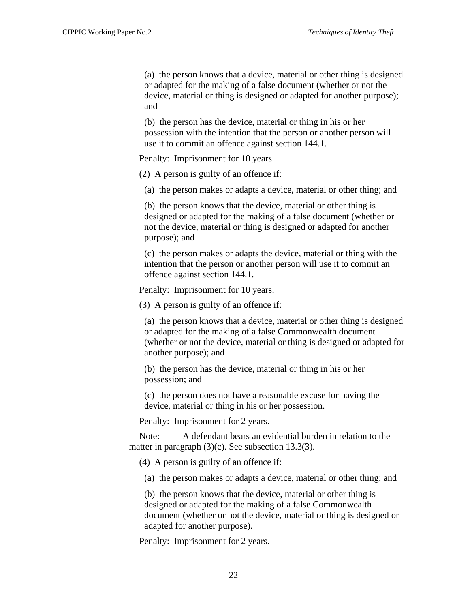(a) the person knows that a device, material or other thing is designed or adapted for the making of a false document (whether or not the device, material or thing is designed or adapted for another purpose); and

(b) the person has the device, material or thing in his or her possession with the intention that the person or another person will use it to commit an offence against section 144.1.

Penalty: Imprisonment for 10 years.

(2) A person is guilty of an offence if:

(a) the person makes or adapts a device, material or other thing; and

(b) the person knows that the device, material or other thing is designed or adapted for the making of a false document (whether or not the device, material or thing is designed or adapted for another purpose); and

(c) the person makes or adapts the device, material or thing with the intention that the person or another person will use it to commit an offence against section 144.1.

Penalty: Imprisonment for 10 years.

(3) A person is guilty of an offence if:

(a) the person knows that a device, material or other thing is designed or adapted for the making of a false Commonwealth document (whether or not the device, material or thing is designed or adapted for another purpose); and

(b) the person has the device, material or thing in his or her possession; and

(c) the person does not have a reasonable excuse for having the device, material or thing in his or her possession.

Penalty: Imprisonment for 2 years.

Note: A defendant bears an evidential burden in relation to the matter in paragraph (3)(c). See subsection 13.3(3).

(4) A person is guilty of an offence if:

(a) the person makes or adapts a device, material or other thing; and

(b) the person knows that the device, material or other thing is designed or adapted for the making of a false Commonwealth document (whether or not the device, material or thing is designed or adapted for another purpose).

Penalty: Imprisonment for 2 years.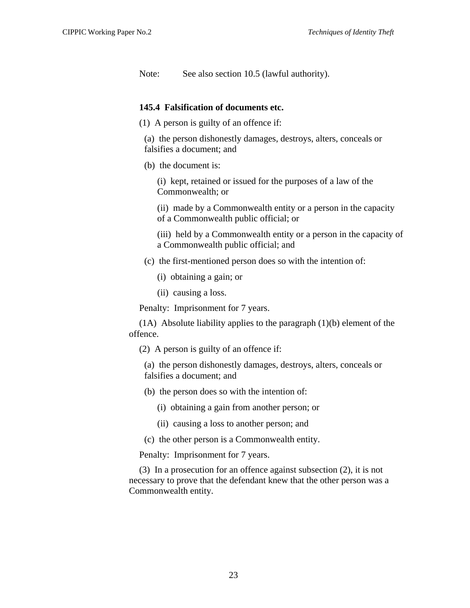Note: See also section 10.5 (lawful authority).

#### **145.4 Falsification of documents etc.**

- (1) A person is guilty of an offence if:
	- (a) the person dishonestly damages, destroys, alters, conceals or falsifies a document; and
	- (b) the document is:

(i) kept, retained or issued for the purposes of a law of the Commonwealth; or

(ii) made by a Commonwealth entity or a person in the capacity of a Commonwealth public official; or

(iii) held by a Commonwealth entity or a person in the capacity of a Commonwealth public official; and

- (c) the first-mentioned person does so with the intention of:
	- (i) obtaining a gain; or
	- (ii) causing a loss.

Penalty: Imprisonment for 7 years.

(1A) Absolute liability applies to the paragraph (1)(b) element of the offence.

(2) A person is guilty of an offence if:

(a) the person dishonestly damages, destroys, alters, conceals or falsifies a document; and

- (b) the person does so with the intention of:
	- (i) obtaining a gain from another person; or
	- (ii) causing a loss to another person; and
- (c) the other person is a Commonwealth entity.

Penalty: Imprisonment for 7 years.

(3) In a prosecution for an offence against subsection (2), it is not necessary to prove that the defendant knew that the other person was a Commonwealth entity.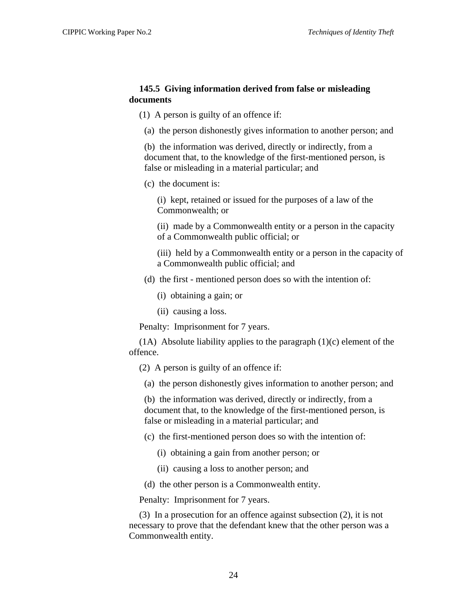#### **145.5 Giving information derived from false or misleading documents**

(1) A person is guilty of an offence if:

(a) the person dishonestly gives information to another person; and

(b) the information was derived, directly or indirectly, from a document that, to the knowledge of the first-mentioned person, is false or misleading in a material particular; and

(c) the document is:

(i) kept, retained or issued for the purposes of a law of the Commonwealth; or

(ii) made by a Commonwealth entity or a person in the capacity of a Commonwealth public official; or

(iii) held by a Commonwealth entity or a person in the capacity of a Commonwealth public official; and

- (d) the first mentioned person does so with the intention of:
	- (i) obtaining a gain; or
	- (ii) causing a loss.

Penalty: Imprisonment for 7 years.

(1A) Absolute liability applies to the paragraph  $(1)(c)$  element of the offence.

- (2) A person is guilty of an offence if:
- (a) the person dishonestly gives information to another person; and

(b) the information was derived, directly or indirectly, from a document that, to the knowledge of the first-mentioned person, is false or misleading in a material particular; and

- (c) the first-mentioned person does so with the intention of:
	- (i) obtaining a gain from another person; or
	- (ii) causing a loss to another person; and
- (d) the other person is a Commonwealth entity.

Penalty: Imprisonment for 7 years.

(3) In a prosecution for an offence against subsection (2), it is not necessary to prove that the defendant knew that the other person was a Commonwealth entity.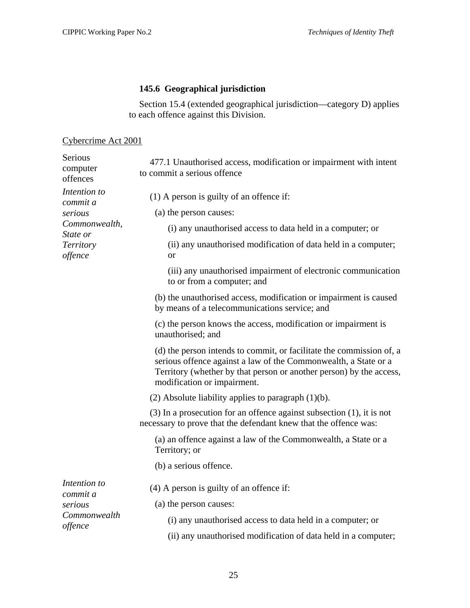# **145.6 Geographical jurisdiction**

Section 15.4 (extended geographical jurisdiction—category D) applies to each offence against this Division.

# <span id="page-28-0"></span>Cybercrime Act 2001

| Serious<br>computer<br>offences | 477.1 Unauthorised access, modification or impairment with intent<br>to commit a serious offence                                                                                                                                              |
|---------------------------------|-----------------------------------------------------------------------------------------------------------------------------------------------------------------------------------------------------------------------------------------------|
| Intention to<br>commit a        | $(1)$ A person is guilty of an offence if:                                                                                                                                                                                                    |
| serious                         | (a) the person causes:                                                                                                                                                                                                                        |
| Commonwealth,<br>State or       | (i) any unauthorised access to data held in a computer; or                                                                                                                                                                                    |
| Territory<br>offence            | (ii) any unauthorised modification of data held in a computer;<br><b>or</b>                                                                                                                                                                   |
|                                 | (iii) any unauthorised impairment of electronic communication<br>to or from a computer; and                                                                                                                                                   |
|                                 | (b) the unauthorised access, modification or impairment is caused<br>by means of a telecommunications service; and                                                                                                                            |
|                                 | (c) the person knows the access, modification or impairment is<br>unauthorised; and                                                                                                                                                           |
|                                 | (d) the person intends to commit, or facilitate the commission of, a<br>serious offence against a law of the Commonwealth, a State or a<br>Territory (whether by that person or another person) by the access,<br>modification or impairment. |
|                                 | $(2)$ Absolute liability applies to paragraph $(1)(b)$ .                                                                                                                                                                                      |
|                                 | $(3)$ In a prosecution for an offence against subsection $(1)$ , it is not<br>necessary to prove that the defendant knew that the offence was:                                                                                                |
|                                 | (a) an offence against a law of the Commonwealth, a State or a<br>Territory; or                                                                                                                                                               |
|                                 | (b) a serious offence.                                                                                                                                                                                                                        |
| Intention to<br>commit a        | $(4)$ A person is guilty of an offence if:                                                                                                                                                                                                    |
| serious                         | (a) the person causes:                                                                                                                                                                                                                        |
| Commonwealth<br>offence         | (i) any unauthorised access to data held in a computer; or                                                                                                                                                                                    |
|                                 | (ii) any unauthorised modification of data held in a computer;                                                                                                                                                                                |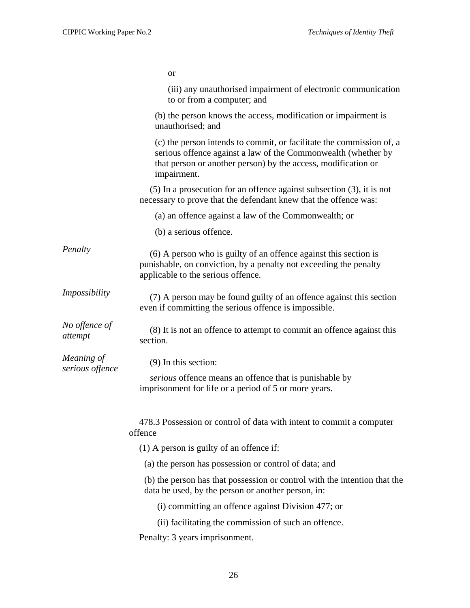or

|                               | (iii) any unauthorised impairment of electronic communication<br>to or from a computer; and                                                                                                                           |
|-------------------------------|-----------------------------------------------------------------------------------------------------------------------------------------------------------------------------------------------------------------------|
|                               | (b) the person knows the access, modification or impairment is<br>unauthorised; and                                                                                                                                   |
|                               | (c) the person intends to commit, or facilitate the commission of, a<br>serious offence against a law of the Commonwealth (whether by<br>that person or another person) by the access, modification or<br>impairment. |
|                               | $(5)$ In a prosecution for an offence against subsection $(3)$ , it is not<br>necessary to prove that the defendant knew that the offence was:                                                                        |
|                               | (a) an offence against a law of the Commonwealth; or                                                                                                                                                                  |
|                               | (b) a serious offence.                                                                                                                                                                                                |
| Penalty                       | (6) A person who is guilty of an offence against this section is<br>punishable, on conviction, by a penalty not exceeding the penalty<br>applicable to the serious offence.                                           |
| Impossibility                 | (7) A person may be found guilty of an offence against this section<br>even if committing the serious offence is impossible.                                                                                          |
| No offence of<br>attempt      | (8) It is not an offence to attempt to commit an offence against this<br>section.                                                                                                                                     |
| Meaning of<br>serious offence | $(9)$ In this section:                                                                                                                                                                                                |
|                               | serious offence means an offence that is punishable by<br>imprisonment for life or a period of 5 or more years.                                                                                                       |
|                               | 478.3 Possession or control of data with intent to commit a computer<br>offence                                                                                                                                       |
|                               | $(1)$ A person is guilty of an offence if:                                                                                                                                                                            |
|                               | (a) the person has possession or control of data; and                                                                                                                                                                 |
|                               | (b) the person has that possession or control with the intention that the<br>data be used, by the person or another person, in:                                                                                       |
|                               | (i) committing an offence against Division 477; or                                                                                                                                                                    |
|                               | (ii) facilitating the commission of such an offence.                                                                                                                                                                  |
|                               | Penalty: 3 years imprisonment.                                                                                                                                                                                        |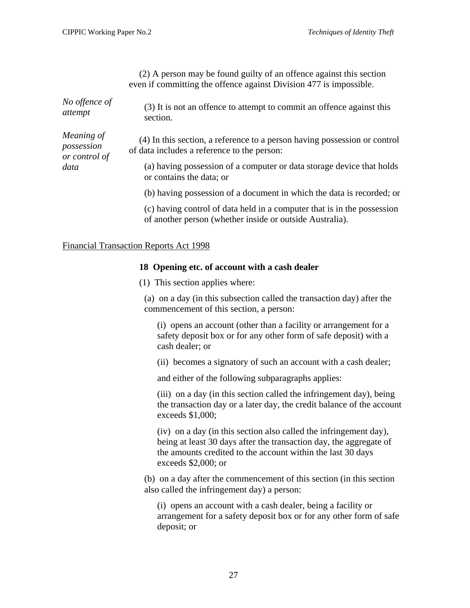(2) A person may be found guilty of an offence against this section even if committing the offence against Division 477 is impossible.

<span id="page-30-0"></span>

| No offence of<br>attempt                  | (3) It is not an offence to attempt to commit an offence against this<br>section.                                                   |
|-------------------------------------------|-------------------------------------------------------------------------------------------------------------------------------------|
| Meaning of<br>possession<br>or control of | (4) In this section, a reference to a person having possession or control<br>of data includes a reference to the person:            |
| data                                      | (a) having possession of a computer or data storage device that holds<br>or contains the data; or                                   |
|                                           | (b) having possession of a document in which the data is recorded; or                                                               |
|                                           | (c) having control of data held in a computer that is in the possession<br>of another person (whether inside or outside Australia). |

# Financial Transaction Reports Act 1998

#### **18 Opening etc. of account with a cash dealer**

(1) This section applies where:

(a) on a day (in this subsection called the transaction day) after the commencement of this section, a person:

(i) opens an account (other than a facility or arrangement for a safety deposit box or for any other form of safe deposit) with a cash dealer; or

(ii) becomes a signatory of such an account with a cash dealer;

and either of the following subparagraphs applies:

(iii) on a day (in this section called the infringement day), being the transaction day or a later day, the credit balance of the account exceeds \$1,000;

(iv) on a day (in this section also called the infringement day), being at least 30 days after the transaction day, the aggregate of the amounts credited to the account within the last 30 days exceeds \$2,000; or

(b) on a day after the commencement of this section (in this section also called the infringement day) a person:

(i) opens an account with a cash dealer, being a facility or arrangement for a safety deposit box or for any other form of safe deposit; or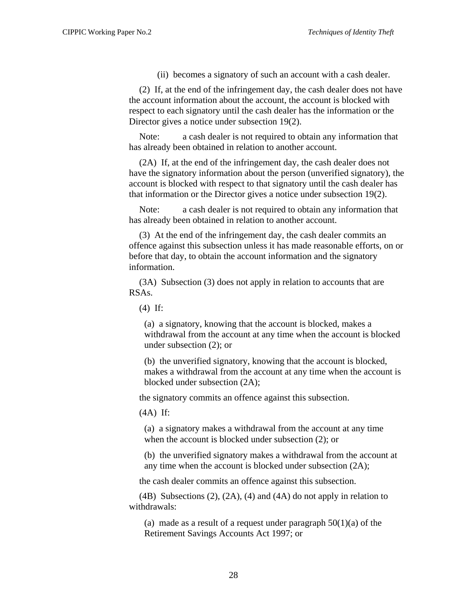(ii) becomes a signatory of such an account with a cash dealer.

(2) If, at the end of the infringement day, the cash dealer does not have the account information about the account, the account is blocked with respect to each signatory until the cash dealer has the information or the Director gives a notice under subsection 19(2).

Note: a cash dealer is not required to obtain any information that has already been obtained in relation to another account.

(2A) If, at the end of the infringement day, the cash dealer does not have the signatory information about the person (unverified signatory), the account is blocked with respect to that signatory until the cash dealer has that information or the Director gives a notice under subsection 19(2).

Note: a cash dealer is not required to obtain any information that has already been obtained in relation to another account.

(3) At the end of the infringement day, the cash dealer commits an offence against this subsection unless it has made reasonable efforts, on or before that day, to obtain the account information and the signatory information.

(3A) Subsection (3) does not apply in relation to accounts that are RSAs.

(4) If:

(a) a signatory, knowing that the account is blocked, makes a withdrawal from the account at any time when the account is blocked under subsection (2); or

(b) the unverified signatory, knowing that the account is blocked, makes a withdrawal from the account at any time when the account is blocked under subsection (2A);

the signatory commits an offence against this subsection.

(4A) If:

(a) a signatory makes a withdrawal from the account at any time when the account is blocked under subsection (2); or

(b) the unverified signatory makes a withdrawal from the account at any time when the account is blocked under subsection (2A);

the cash dealer commits an offence against this subsection.

(4B) Subsections  $(2)$ ,  $(2A)$ ,  $(4)$  and  $(4A)$  do not apply in relation to withdrawals:

(a) made as a result of a request under paragraph  $50(1)(a)$  of the Retirement Savings Accounts Act 1997; or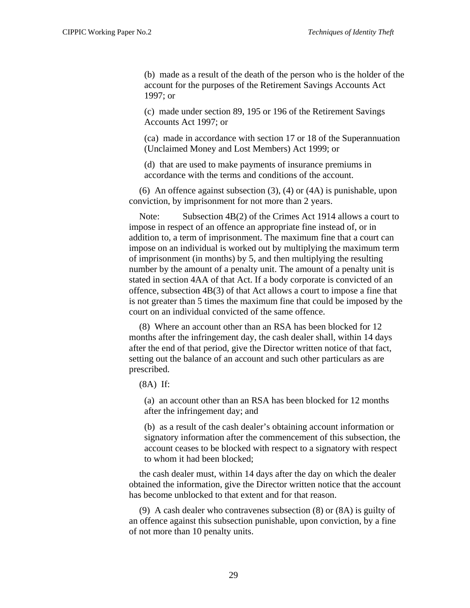(b) made as a result of the death of the person who is the holder of the account for the purposes of the Retirement Savings Accounts Act 1997; or

(c) made under section 89, 195 or 196 of the Retirement Savings Accounts Act 1997; or

(ca) made in accordance with section 17 or 18 of the Superannuation (Unclaimed Money and Lost Members) Act 1999; or

(d) that are used to make payments of insurance premiums in accordance with the terms and conditions of the account.

(6) An offence against subsection (3), (4) or (4A) is punishable, upon conviction, by imprisonment for not more than 2 years.

Note: Subsection 4B(2) of the Crimes Act 1914 allows a court to impose in respect of an offence an appropriate fine instead of, or in addition to, a term of imprisonment. The maximum fine that a court can impose on an individual is worked out by multiplying the maximum term of imprisonment (in months) by 5, and then multiplying the resulting number by the amount of a penalty unit. The amount of a penalty unit is stated in section 4AA of that Act. If a body corporate is convicted of an offence, subsection 4B(3) of that Act allows a court to impose a fine that is not greater than 5 times the maximum fine that could be imposed by the court on an individual convicted of the same offence.

(8) Where an account other than an RSA has been blocked for 12 months after the infringement day, the cash dealer shall, within 14 days after the end of that period, give the Director written notice of that fact, setting out the balance of an account and such other particulars as are prescribed.

(8A) If:

(a) an account other than an RSA has been blocked for 12 months after the infringement day; and

(b) as a result of the cash dealer's obtaining account information or signatory information after the commencement of this subsection, the account ceases to be blocked with respect to a signatory with respect to whom it had been blocked;

the cash dealer must, within 14 days after the day on which the dealer obtained the information, give the Director written notice that the account has become unblocked to that extent and for that reason.

(9) A cash dealer who contravenes subsection (8) or (8A) is guilty of an offence against this subsection punishable, upon conviction, by a fine of not more than 10 penalty units.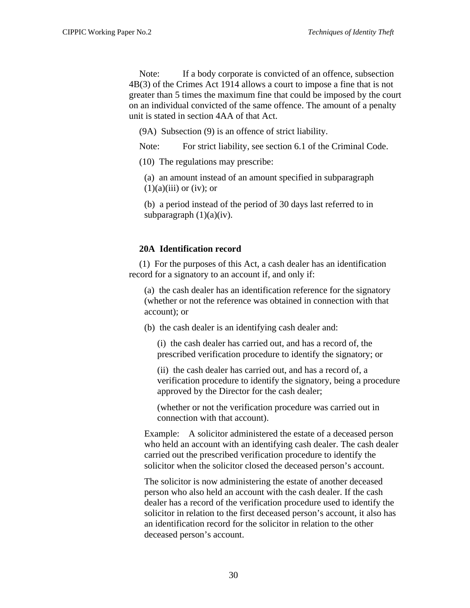Note: If a body corporate is convicted of an offence, subsection 4B(3) of the Crimes Act 1914 allows a court to impose a fine that is not greater than 5 times the maximum fine that could be imposed by the court on an individual convicted of the same offence. The amount of a penalty unit is stated in section 4AA of that Act.

(9A) Subsection (9) is an offence of strict liability.

Note: For strict liability, see section 6.1 of the Criminal Code.

(10) The regulations may prescribe:

(a) an amount instead of an amount specified in subparagraph  $(1)(a)(iii)$  or (iv); or

(b) a period instead of the period of 30 days last referred to in subparagraph  $(1)(a)(iv)$ .

# **20A Identification record**

(1) For the purposes of this Act, a cash dealer has an identification record for a signatory to an account if, and only if:

(a) the cash dealer has an identification reference for the signatory (whether or not the reference was obtained in connection with that account); or

(b) the cash dealer is an identifying cash dealer and:

(i) the cash dealer has carried out, and has a record of, the prescribed verification procedure to identify the signatory; or

(ii) the cash dealer has carried out, and has a record of, a verification procedure to identify the signatory, being a procedure approved by the Director for the cash dealer;

(whether or not the verification procedure was carried out in connection with that account).

Example: A solicitor administered the estate of a deceased person who held an account with an identifying cash dealer. The cash dealer carried out the prescribed verification procedure to identify the solicitor when the solicitor closed the deceased person's account.

The solicitor is now administering the estate of another deceased person who also held an account with the cash dealer. If the cash dealer has a record of the verification procedure used to identify the solicitor in relation to the first deceased person's account, it also has an identification record for the solicitor in relation to the other deceased person's account.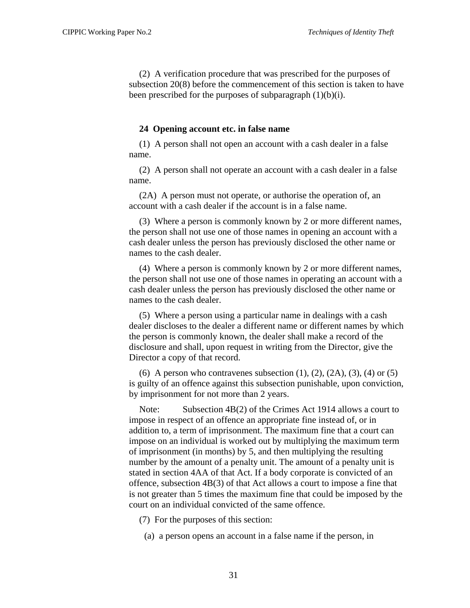(2) A verification procedure that was prescribed for the purposes of subsection 20(8) before the commencement of this section is taken to have been prescribed for the purposes of subparagraph  $(1)(b)(i)$ .

#### **24 Opening account etc. in false name**

(1) A person shall not open an account with a cash dealer in a false name.

(2) A person shall not operate an account with a cash dealer in a false name.

(2A) A person must not operate, or authorise the operation of, an account with a cash dealer if the account is in a false name.

(3) Where a person is commonly known by 2 or more different names, the person shall not use one of those names in opening an account with a cash dealer unless the person has previously disclosed the other name or names to the cash dealer.

(4) Where a person is commonly known by 2 or more different names, the person shall not use one of those names in operating an account with a cash dealer unless the person has previously disclosed the other name or names to the cash dealer.

(5) Where a person using a particular name in dealings with a cash dealer discloses to the dealer a different name or different names by which the person is commonly known, the dealer shall make a record of the disclosure and shall, upon request in writing from the Director, give the Director a copy of that record.

(6) A person who contravenes subsection  $(1)$ ,  $(2)$ ,  $(2A)$ ,  $(3)$ ,  $(4)$  or  $(5)$ is guilty of an offence against this subsection punishable, upon conviction, by imprisonment for not more than 2 years.

Note: Subsection 4B(2) of the Crimes Act 1914 allows a court to impose in respect of an offence an appropriate fine instead of, or in addition to, a term of imprisonment. The maximum fine that a court can impose on an individual is worked out by multiplying the maximum term of imprisonment (in months) by 5, and then multiplying the resulting number by the amount of a penalty unit. The amount of a penalty unit is stated in section 4AA of that Act. If a body corporate is convicted of an offence, subsection 4B(3) of that Act allows a court to impose a fine that is not greater than 5 times the maximum fine that could be imposed by the court on an individual convicted of the same offence.

(7) For the purposes of this section:

(a) a person opens an account in a false name if the person, in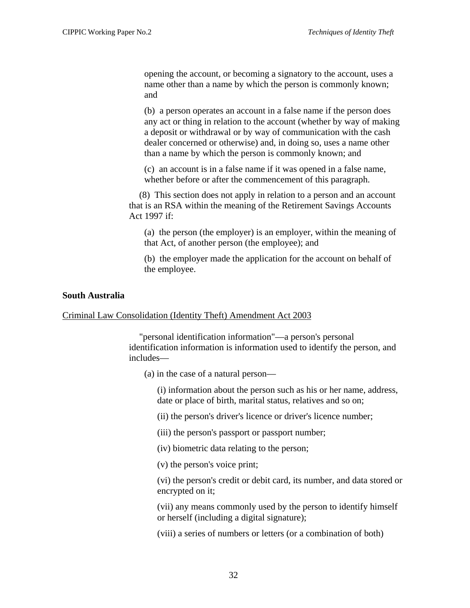<span id="page-35-0"></span>opening the account, or becoming a signatory to the account, uses a name other than a name by which the person is commonly known; and

(b) a person operates an account in a false name if the person does any act or thing in relation to the account (whether by way of making a deposit or withdrawal or by way of communication with the cash dealer concerned or otherwise) and, in doing so, uses a name other than a name by which the person is commonly known; and

(c) an account is in a false name if it was opened in a false name, whether before or after the commencement of this paragraph.

(8) This section does not apply in relation to a person and an account that is an RSA within the meaning of the Retirement Savings Accounts Act 1997 if:

(a) the person (the employer) is an employer, within the meaning of that Act, of another person (the employee); and

(b) the employer made the application for the account on behalf of the employee.

#### **South Australia**

Criminal Law Consolidation (Identity Theft) Amendment Act 2003

"personal identification information"—a person's personal identification information is information used to identify the person, and includes—

(a) in the case of a natural person—

(i) information about the person such as his or her name, address, date or place of birth, marital status, relatives and so on;

(ii) the person's driver's licence or driver's licence number;

(iii) the person's passport or passport number;

(iv) biometric data relating to the person;

(v) the person's voice print;

(vi) the person's credit or debit card, its number, and data stored or encrypted on it;

(vii) any means commonly used by the person to identify himself or herself (including a digital signature);

(viii) a series of numbers or letters (or a combination of both)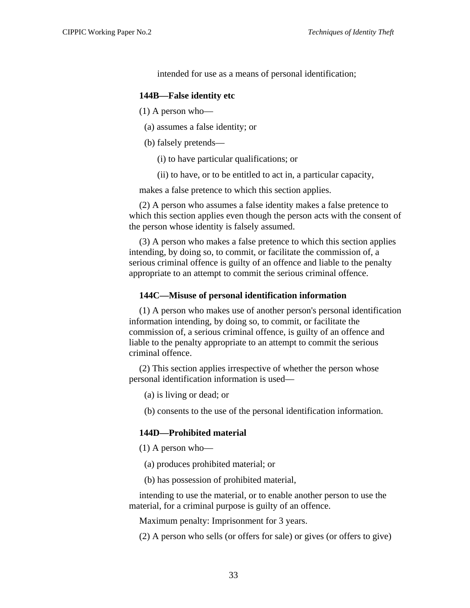intended for use as a means of personal identification;

#### **144B—False identity etc**

(1) A person who—

- (a) assumes a false identity; or
- (b) falsely pretends—
	- (i) to have particular qualifications; or
	- (ii) to have, or to be entitled to act in, a particular capacity,

makes a false pretence to which this section applies.

(2) A person who assumes a false identity makes a false pretence to which this section applies even though the person acts with the consent of the person whose identity is falsely assumed.

(3) A person who makes a false pretence to which this section applies intending, by doing so, to commit, or facilitate the commission of, a serious criminal offence is guilty of an offence and liable to the penalty appropriate to an attempt to commit the serious criminal offence.

#### **144C—Misuse of personal identification information**

(1) A person who makes use of another person's personal identification information intending, by doing so, to commit, or facilitate the commission of, a serious criminal offence, is guilty of an offence and liable to the penalty appropriate to an attempt to commit the serious criminal offence.

(2) This section applies irrespective of whether the person whose personal identification information is used—

(a) is living or dead; or

(b) consents to the use of the personal identification information.

#### **144D—Prohibited material**

 $(1)$  A person who—

- (a) produces prohibited material; or
- (b) has possession of prohibited material,

intending to use the material, or to enable another person to use the material, for a criminal purpose is guilty of an offence.

Maximum penalty: Imprisonment for 3 years.

(2) A person who sells (or offers for sale) or gives (or offers to give)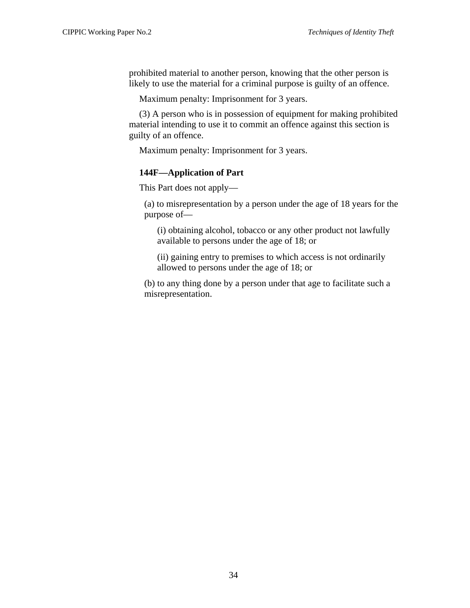prohibited material to another person, knowing that the other person is likely to use the material for a criminal purpose is guilty of an offence.

Maximum penalty: Imprisonment for 3 years.

(3) A person who is in possession of equipment for making prohibited material intending to use it to commit an offence against this section is guilty of an offence.

Maximum penalty: Imprisonment for 3 years.

# **144F—Application of Part**

This Part does not apply—

(a) to misrepresentation by a person under the age of 18 years for the purpose of—

(i) obtaining alcohol, tobacco or any other product not lawfully available to persons under the age of 18; or

(ii) gaining entry to premises to which access is not ordinarily allowed to persons under the age of 18; or

(b) to any thing done by a person under that age to facilitate such a misrepresentation.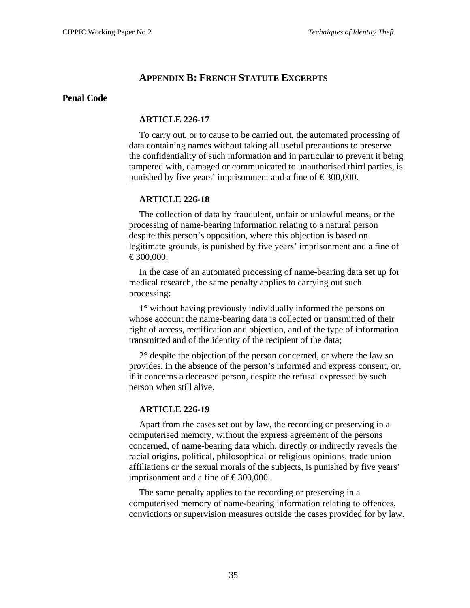# **APPENDIX B: FRENCH STATUTE EXCERPTS**

#### <span id="page-38-0"></span>**Penal Code**

#### **ARTICLE 226-17**

To carry out, or to cause to be carried out, the automated processing of data containing names without taking all useful precautions to preserve the confidentiality of such information and in particular to prevent it being tampered with, damaged or communicated to unauthorised third parties, is punished by five years' imprisonment and a fine of  $\text{\textsterling}300,000$ .

# **ARTICLE 226-18**

The collection of data by fraudulent, unfair or unlawful means, or the processing of name-bearing information relating to a natural person despite this person's opposition, where this objection is based on legitimate grounds, is punished by five years' imprisonment and a fine of  $€300,000.$ 

In the case of an automated processing of name-bearing data set up for medical research, the same penalty applies to carrying out such processing:

1° without having previously individually informed the persons on whose account the name-bearing data is collected or transmitted of their right of access, rectification and objection, and of the type of information transmitted and of the identity of the recipient of the data;

2° despite the objection of the person concerned, or where the law so provides, in the absence of the person's informed and express consent, or, if it concerns a deceased person, despite the refusal expressed by such person when still alive.

# **ARTICLE 226-19**

Apart from the cases set out by law, the recording or preserving in a computerised memory, without the express agreement of the persons concerned, of name-bearing data which, directly or indirectly reveals the racial origins, political, philosophical or religious opinions, trade union affiliations or the sexual morals of the subjects, is punished by five years' imprisonment and a fine of  $\text{\textsterling}300,000$ .

The same penalty applies to the recording or preserving in a computerised memory of name-bearing information relating to offences, convictions or supervision measures outside the cases provided for by law.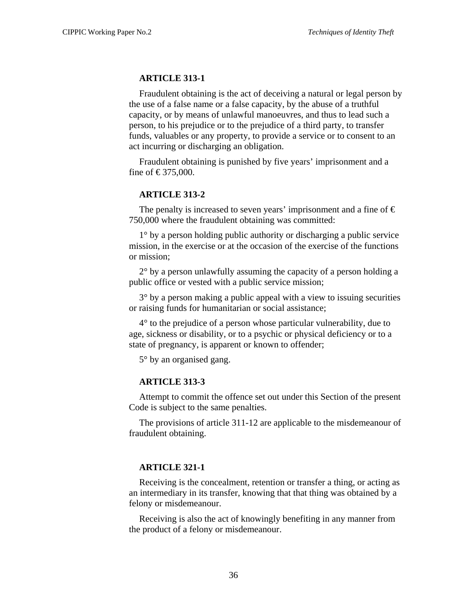#### **ARTICLE 313-1**

Fraudulent obtaining is the act of deceiving a natural or legal person by the use of a false name or a false capacity, by the abuse of a truthful capacity, or by means of unlawful manoeuvres, and thus to lead such a person, to his prejudice or to the prejudice of a third party, to transfer funds, valuables or any property, to provide a service or to consent to an act incurring or discharging an obligation.

Fraudulent obtaining is punished by five years' imprisonment and a fine of €375,000.

#### **ARTICLE 313-2**

The penalty is increased to seven years' imprisonment and a fine of  $\epsilon$ 750,000 where the fraudulent obtaining was committed:

1° by a person holding public authority or discharging a public service mission, in the exercise or at the occasion of the exercise of the functions or mission;

 $2^{\circ}$  by a person unlawfully assuming the capacity of a person holding a public office or vested with a public service mission;

3° by a person making a public appeal with a view to issuing securities or raising funds for humanitarian or social assistance;

4° to the prejudice of a person whose particular vulnerability, due to age, sickness or disability, or to a psychic or physical deficiency or to a state of pregnancy, is apparent or known to offender;

5° by an organised gang.

#### **ARTICLE 313-3**

Attempt to commit the offence set out under this Section of the present Code is subject to the same penalties.

The provisions of article 311-12 are applicable to the misdemeanour of fraudulent obtaining.

#### **ARTICLE 321-1**

Receiving is the concealment, retention or transfer a thing, or acting as an intermediary in its transfer, knowing that that thing was obtained by a felony or misdemeanour.

Receiving is also the act of knowingly benefiting in any manner from the product of a felony or misdemeanour.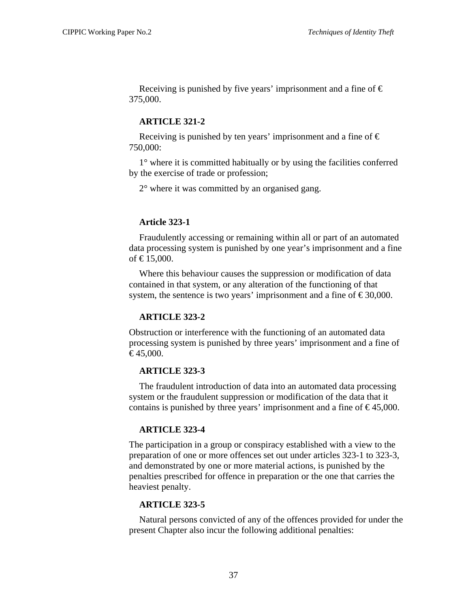Receiving is punished by five years' imprisonment and a fine of  $\epsilon$ 375,000.

#### **ARTICLE 321-2**

Receiving is punished by ten years' imprisonment and a fine of  $\epsilon$ 750,000:

1° where it is committed habitually or by using the facilities conferred by the exercise of trade or profession;

2° where it was committed by an organised gang.

#### **Article 323-1**

Fraudulently accessing or remaining within all or part of an automated data processing system is punished by one year's imprisonment and a fine of €15,000.

Where this behaviour causes the suppression or modification of data contained in that system, or any alteration of the functioning of that system, the sentence is two years' imprisonment and a fine of  $\epsilon$ 30,000.

# **ARTICLE 323-2**

Obstruction or interference with the functioning of an automated data processing system is punished by three years' imprisonment and a fine of  $€45,000.$ 

#### **ARTICLE 323-3**

The fraudulent introduction of data into an automated data processing system or the fraudulent suppression or modification of the data that it contains is punished by three years' imprisonment and a fine of  $\epsilon$ 45,000.

# **ARTICLE 323-4**

The participation in a group or conspiracy established with a view to the preparation of one or more offences set out under articles 323-1 to 323-3, and demonstrated by one or more material actions, is punished by the penalties prescribed for offence in preparation or the one that carries the heaviest penalty.

#### **ARTICLE 323-5**

Natural persons convicted of any of the offences provided for under the present Chapter also incur the following additional penalties: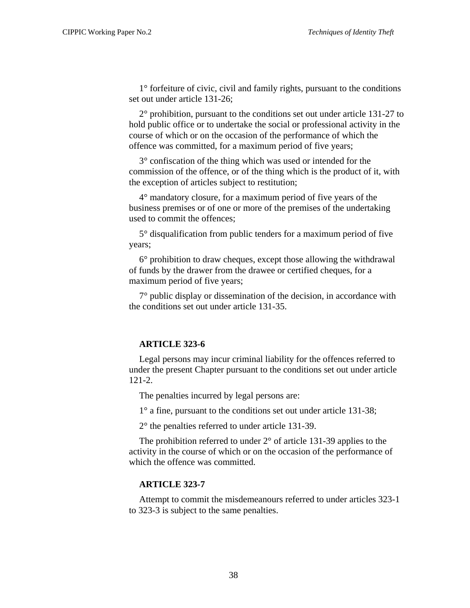1° forfeiture of civic, civil and family rights, pursuant to the conditions set out under article 131-26;

2° prohibition, pursuant to the conditions set out under article 131-27 to hold public office or to undertake the social or professional activity in the course of which or on the occasion of the performance of which the offence was committed, for a maximum period of five years;

3° confiscation of the thing which was used or intended for the commission of the offence, or of the thing which is the product of it, with the exception of articles subject to restitution;

4° mandatory closure, for a maximum period of five years of the business premises or of one or more of the premises of the undertaking used to commit the offences;

5° disqualification from public tenders for a maximum period of five years;

6° prohibition to draw cheques, except those allowing the withdrawal of funds by the drawer from the drawee or certified cheques, for a maximum period of five years;

7° public display or dissemination of the decision, in accordance with the conditions set out under article 131-35.

# **ARTICLE 323-6**

Legal persons may incur criminal liability for the offences referred to under the present Chapter pursuant to the conditions set out under article 121-2.

The penalties incurred by legal persons are:

1° a fine, pursuant to the conditions set out under article 131-38;

2° the penalties referred to under article 131-39.

The prohibition referred to under 2° of article 131-39 applies to the activity in the course of which or on the occasion of the performance of which the offence was committed.

#### **ARTICLE 323-7**

Attempt to commit the misdemeanours referred to under articles 323-1 to 323-3 is subject to the same penalties.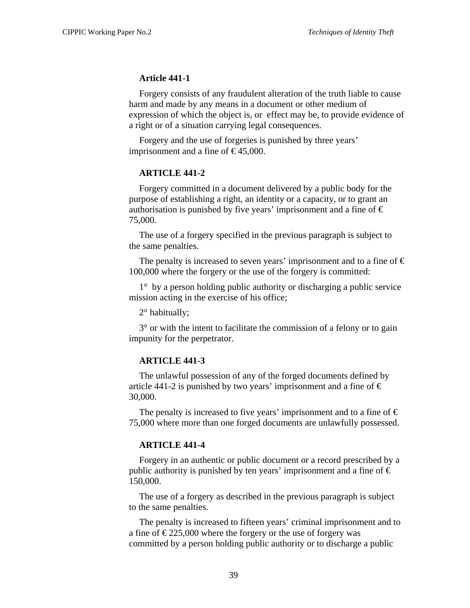#### **Article 441-1**

Forgery consists of any fraudulent alteration of the truth liable to cause harm and made by any means in a document or other medium of expression of which the object is, or effect may be, to provide evidence of a right or of a situation carrying legal consequences.

Forgery and the use of forgeries is punished by three years' imprisonment and a fine of  $\text{£}45,000$ .

#### **ARTICLE 441-2**

Forgery committed in a document delivered by a public body for the purpose of establishing a right, an identity or a capacity, or to grant an authorisation is punished by five years' imprisonment and a fine of  $\epsilon$ 75,000.

The use of a forgery specified in the previous paragraph is subject to the same penalties.

The penalty is increased to seven years' imprisonment and to a fine of  $\epsilon$ 100,000 where the forgery or the use of the forgery is committed:

1° by a person holding public authority or discharging a public service mission acting in the exercise of his office;

2° habitually;

3° or with the intent to facilitate the commission of a felony or to gain impunity for the perpetrator.

#### **ARTICLE 441-3**

The unlawful possession of any of the forged documents defined by article 441-2 is punished by two years' imprisonment and a fine of  $\epsilon$ 30,000.

The penalty is increased to five years' imprisonment and to a fine of  $\epsilon$ 75,000 where more than one forged documents are unlawfully possessed.

#### **ARTICLE 441-4**

Forgery in an authentic or public document or a record prescribed by a public authority is punished by ten years' imprisonment and a fine of  $\epsilon$ 150,000.

The use of a forgery as described in the previous paragraph is subject to the same penalties.

The penalty is increased to fifteen years' criminal imprisonment and to a fine of  $\epsilon$ 225,000 where the forgery or the use of forgery was committed by a person holding public authority or to discharge a public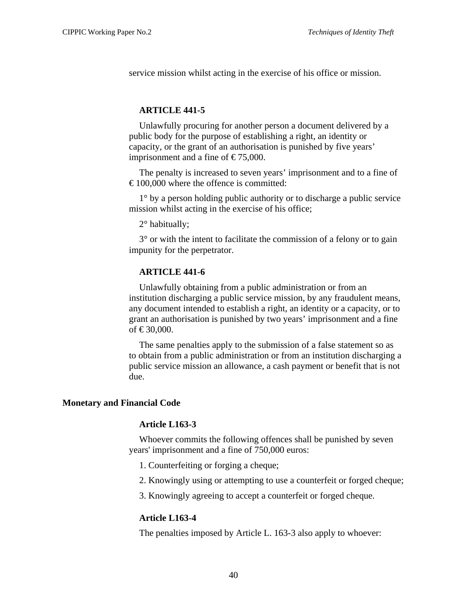<span id="page-43-0"></span>service mission whilst acting in the exercise of his office or mission.

# **ARTICLE 441-5**

Unlawfully procuring for another person a document delivered by a public body for the purpose of establishing a right, an identity or capacity, or the grant of an authorisation is punished by five years' imprisonment and a fine of  $\text{\textsterling}75,000$ .

The penalty is increased to seven years' imprisonment and to a fine of  $\epsilon$  100,000 where the offence is committed:

1° by a person holding public authority or to discharge a public service mission whilst acting in the exercise of his office;

2° habitually;

3° or with the intent to facilitate the commission of a felony or to gain impunity for the perpetrator.

#### **ARTICLE 441-6**

Unlawfully obtaining from a public administration or from an institution discharging a public service mission, by any fraudulent means, any document intended to establish a right, an identity or a capacity, or to grant an authorisation is punished by two years' imprisonment and a fine of €30,000.

The same penalties apply to the submission of a false statement so as to obtain from a public administration or from an institution discharging a public service mission an allowance, a cash payment or benefit that is not due.

#### **Monetary and Financial Code**

#### **Article L163-3**

Whoever commits the following offences shall be punished by seven years' imprisonment and a fine of 750,000 euros:

- 1. Counterfeiting or forging a cheque;
- 2. Knowingly using or attempting to use a counterfeit or forged cheque;
- 3. Knowingly agreeing to accept a counterfeit or forged cheque.

#### **Article L163-4**

The penalties imposed by Article L. 163-3 also apply to whoever: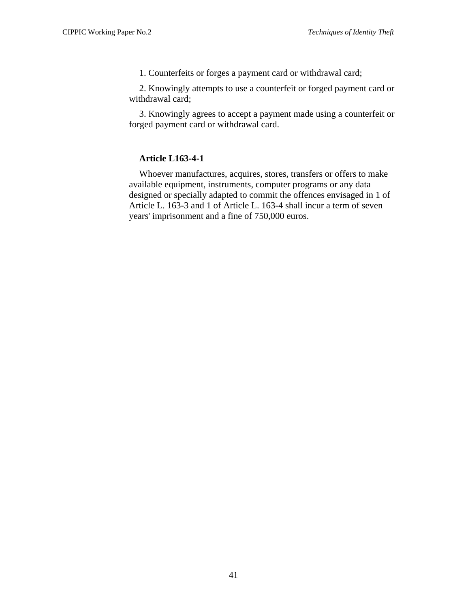1. Counterfeits or forges a payment card or withdrawal card;

2. Knowingly attempts to use a counterfeit or forged payment card or withdrawal card;

3. Knowingly agrees to accept a payment made using a counterfeit or forged payment card or withdrawal card.

# **Article L163-4-1**

Whoever manufactures, acquires, stores, transfers or offers to make available equipment, instruments, computer programs or any data designed or specially adapted to commit the offences envisaged in 1 of Article L. 163-3 and 1 of Article L. 163-4 shall incur a term of seven years' imprisonment and a fine of 750,000 euros.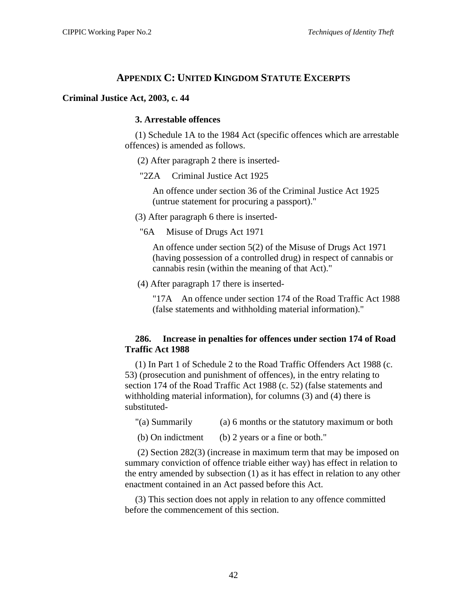# **APPENDIX C: UNITED KINGDOM STATUTE EXCERPTS**

#### <span id="page-45-0"></span>**Criminal Justice Act, 2003, c. 44**

#### **3. Arrestable offences**

(1) Schedule 1A to the 1984 Act (specific offences which are arrestable offences) is amended as follows.

(2) After paragraph 2 there is inserted-

"2ZA Criminal Justice Act 1925

An offence under section 36 of the Criminal Justice Act 1925 (untrue statement for procuring a passport)."

(3) After paragraph 6 there is inserted-

"6A Misuse of Drugs Act 1971

An offence under section 5(2) of the Misuse of Drugs Act 1971 (having possession of a controlled drug) in respect of cannabis or cannabis resin (within the meaning of that Act)."

(4) After paragraph 17 there is inserted-

"17A An offence under section 174 of the Road Traffic Act 1988 (false statements and withholding material information)."

#### **286. Increase in penalties for offences under section 174 of Road Traffic Act 1988**

(1) In Part 1 of Schedule 2 to the Road Traffic Offenders Act 1988 (c. 53) (prosecution and punishment of offences), in the entry relating to section 174 of the Road Traffic Act 1988 (c. 52) (false statements and withholding material information), for columns (3) and (4) there is substituted-

"(a) Summarily (a) 6 months or the statutory maximum or both

(b) On indictment (b) 2 years or a fine or both."

 (2) Section 282(3) (increase in maximum term that may be imposed on summary conviction of offence triable either way) has effect in relation to the entry amended by subsection (1) as it has effect in relation to any other enactment contained in an Act passed before this Act.

(3) This section does not apply in relation to any offence committed before the commencement of this section.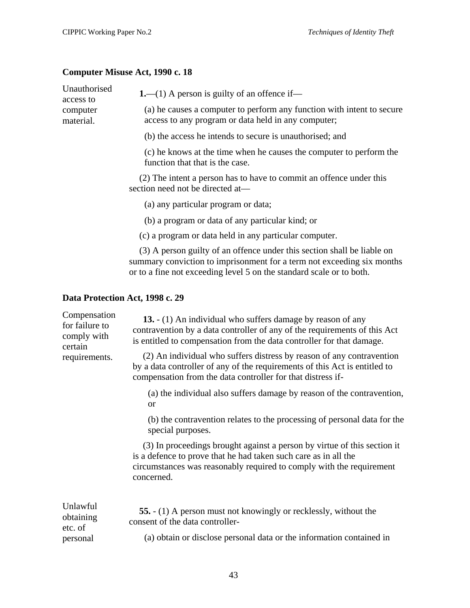# <span id="page-46-0"></span>**Computer Misuse Act, 1990 c. 18**

| Unauthorised<br>access to                                   | <b>1.</b> —(1) A person is guilty of an offence if—                                                                                                                                                                       |
|-------------------------------------------------------------|---------------------------------------------------------------------------------------------------------------------------------------------------------------------------------------------------------------------------|
| computer<br>material.                                       | (a) he causes a computer to perform any function with intent to secure<br>access to any program or data held in any computer;                                                                                             |
|                                                             | (b) the access he intends to secure is unauthorised; and                                                                                                                                                                  |
|                                                             | (c) he knows at the time when he causes the computer to perform the<br>function that that is the case.                                                                                                                    |
|                                                             | (2) The intent a person has to have to commit an offence under this<br>section need not be directed at-                                                                                                                   |
|                                                             | (a) any particular program or data;                                                                                                                                                                                       |
|                                                             | (b) a program or data of any particular kind; or                                                                                                                                                                          |
|                                                             | (c) a program or data held in any particular computer.                                                                                                                                                                    |
|                                                             | (3) A person guilty of an offence under this section shall be liable on<br>summary conviction to imprisonment for a term not exceeding six months<br>or to a fine not exceeding level 5 on the standard scale or to both. |
|                                                             | Data Protection Act, 1998 c. 29                                                                                                                                                                                           |
| Compensation<br>for failure to<br>$\mathbf{1}$ $\mathbf{1}$ | 13. - (1) An individual who suffers damage by reason of any<br>contravention by a data controller of any of the requirements of this Act                                                                                  |

| certain<br>(2) An individual who suffers distress by reason of any contravention<br>requirements.<br>by a data controller of any of the requirements of this Act is entitled to                                                   |  |
|-----------------------------------------------------------------------------------------------------------------------------------------------------------------------------------------------------------------------------------|--|
| compensation from the data controller for that distress if-                                                                                                                                                                       |  |
| (a) the individual also suffers damage by reason of the contravention,<br><b>or</b>                                                                                                                                               |  |
| (b) the contravention relates to the processing of personal data for the<br>special purposes.                                                                                                                                     |  |
| (3) In proceedings brought against a person by virtue of this section it<br>is a defence to prove that he had taken such care as in all the<br>circumstances was reasonably required to comply with the requirement<br>concerned. |  |
| Unlawful<br><b>55.</b> - (1) A person must not knowingly or recklessly, without the<br>obtaining<br>consent of the data controller-<br>etc. of                                                                                    |  |
| (a) obtain or disclose personal data or the information contained in<br>personal                                                                                                                                                  |  |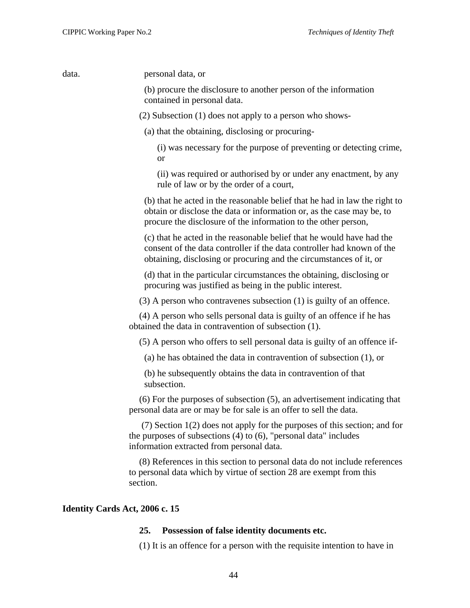<span id="page-47-0"></span>data. personal data, or

(b) procure the disclosure to another person of the information contained in personal data.

(2) Subsection (1) does not apply to a person who shows-

(a) that the obtaining, disclosing or procuring-

(i) was necessary for the purpose of preventing or detecting crime, or

(ii) was required or authorised by or under any enactment, by any rule of law or by the order of a court,

(b) that he acted in the reasonable belief that he had in law the right to obtain or disclose the data or information or, as the case may be, to procure the disclosure of the information to the other person,

(c) that he acted in the reasonable belief that he would have had the consent of the data controller if the data controller had known of the obtaining, disclosing or procuring and the circumstances of it, or

(d) that in the particular circumstances the obtaining, disclosing or procuring was justified as being in the public interest.

(3) A person who contravenes subsection (1) is guilty of an offence.

(4) A person who sells personal data is guilty of an offence if he has obtained the data in contravention of subsection (1).

(5) A person who offers to sell personal data is guilty of an offence if-

(a) he has obtained the data in contravention of subsection (1), or

(b) he subsequently obtains the data in contravention of that subsection.

(6) For the purposes of subsection (5), an advertisement indicating that personal data are or may be for sale is an offer to sell the data.

 (7) Section 1(2) does not apply for the purposes of this section; and for the purposes of subsections (4) to (6), "personal data" includes information extracted from personal data.

(8) References in this section to personal data do not include references to personal data which by virtue of section 28 are exempt from this section.

#### **Identity Cards Act, 2006 c. 15**

#### **25. Possession of false identity documents etc.**

(1) It is an offence for a person with the requisite intention to have in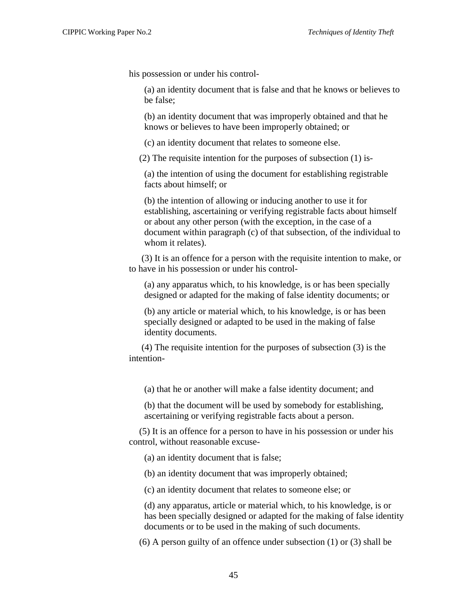his possession or under his control-

(a) an identity document that is false and that he knows or believes to be false;

(b) an identity document that was improperly obtained and that he knows or believes to have been improperly obtained; or

(c) an identity document that relates to someone else.

(2) The requisite intention for the purposes of subsection (1) is-

(a) the intention of using the document for establishing registrable facts about himself; or

(b) the intention of allowing or inducing another to use it for establishing, ascertaining or verifying registrable facts about himself or about any other person (with the exception, in the case of a document within paragraph (c) of that subsection, of the individual to whom it relates).

 (3) It is an offence for a person with the requisite intention to make, or to have in his possession or under his control-

(a) any apparatus which, to his knowledge, is or has been specially designed or adapted for the making of false identity documents; or

(b) any article or material which, to his knowledge, is or has been specially designed or adapted to be used in the making of false identity documents.

 (4) The requisite intention for the purposes of subsection (3) is the intention-

(a) that he or another will make a false identity document; and

(b) that the document will be used by somebody for establishing, ascertaining or verifying registrable facts about a person.

(5) It is an offence for a person to have in his possession or under his control, without reasonable excuse-

(a) an identity document that is false;

(b) an identity document that was improperly obtained;

(c) an identity document that relates to someone else; or

(d) any apparatus, article or material which, to his knowledge, is or has been specially designed or adapted for the making of false identity documents or to be used in the making of such documents.

(6) A person guilty of an offence under subsection (1) or (3) shall be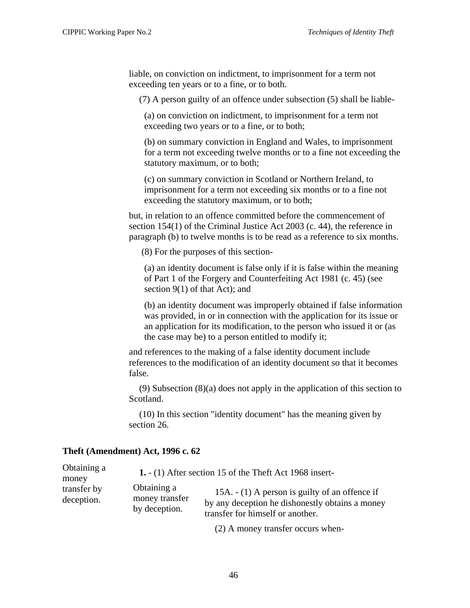<span id="page-49-0"></span>liable, on conviction on indictment, to imprisonment for a term not exceeding ten years or to a fine, or to both.

(7) A person guilty of an offence under subsection (5) shall be liable-

(a) on conviction on indictment, to imprisonment for a term not exceeding two years or to a fine, or to both;

(b) on summary conviction in England and Wales, to imprisonment for a term not exceeding twelve months or to a fine not exceeding the statutory maximum, or to both;

(c) on summary conviction in Scotland or Northern Ireland, to imprisonment for a term not exceeding six months or to a fine not exceeding the statutory maximum, or to both;

but, in relation to an offence committed before the commencement of section 154(1) of the Criminal Justice Act 2003 (c. 44), the reference in paragraph (b) to twelve months is to be read as a reference to six months.

(8) For the purposes of this section-

(a) an identity document is false only if it is false within the meaning of Part 1 of the Forgery and Counterfeiting Act 1981 (c. 45) (see section 9(1) of that Act); and

(b) an identity document was improperly obtained if false information was provided, in or in connection with the application for its issue or an application for its modification, to the person who issued it or (as the case may be) to a person entitled to modify it;

and references to the making of a false identity document include references to the modification of an identity document so that it becomes false.

(9) Subsection (8)(a) does not apply in the application of this section to Scotland.

(10) In this section "identity document" has the meaning given by section 26.

#### **Theft (Amendment) Act, 1996 c. 62**

 $\sim$ 

| Obtaining a | 1. $-$ (1) After section 15 of the Theft Act 1968 insert- |                                                  |  |
|-------------|-----------------------------------------------------------|--------------------------------------------------|--|
| money       | Obtaining a                                               | 15A. $- (1)$ A person is guilty of an offence if |  |
| transfer by | money transfer                                            | by any deception he dishonestly obtains a money  |  |
| deception.  | by deception.                                             | transfer for himself or another.                 |  |

(2) A money transfer occurs when-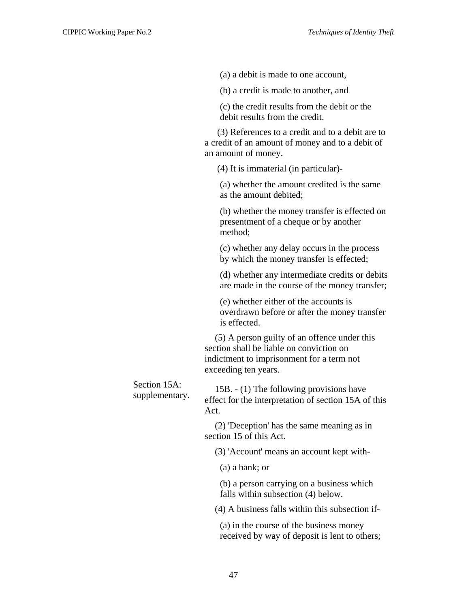(a) a debit is made to one account,

(b) a credit is made to another, and

(c) the credit results from the debit or the debit results from the credit.

 (3) References to a credit and to a debit are to a credit of an amount of money and to a debit of an amount of money.

(4) It is immaterial (in particular)-

(a) whether the amount credited is the same as the amount debited;

(b) whether the money transfer is effected on presentment of a cheque or by another method;

(c) whether any delay occurs in the process by which the money transfer is effected;

(d) whether any intermediate credits or debits are made in the course of the money transfer;

(e) whether either of the accounts is overdrawn before or after the money transfer is effected.

(5) A person guilty of an offence under this section shall be liable on conviction on indictment to imprisonment for a term not exceeding ten years.

Section 15A: section 15A.  $15B - (1)$  The following provisions have<br>supplementary.  $\int_{0}^{2\pi} f(x) dx$  intermetation of eaction 15A. effect for the interpretation of section 15A of this Act.

> (2) 'Deception' has the same meaning as in section 15 of this Act.

(3) 'Account' means an account kept with-

(a) a bank; or

(b) a person carrying on a business which falls within subsection (4) below.

(4) A business falls within this subsection if-

(a) in the course of the business money received by way of deposit is lent to others;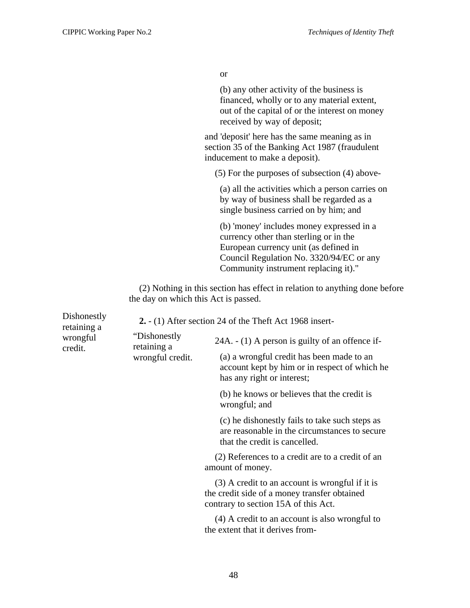or

(b) any other activity of the business is financed, wholly or to any material extent, out of the capital of or the interest on money received by way of deposit;

and 'deposit' here has the same meaning as in section 35 of the Banking Act 1987 (fraudulent inducement to make a deposit).

(5) For the purposes of subsection (4) above-

(a) all the activities which a person carries on by way of business shall be regarded as a single business carried on by him; and

(b) 'money' includes money expressed in a currency other than sterling or in the European currency unit (as defined in Council Regulation No. 3320/94/EC or any Community instrument replacing it)."

(2) Nothing in this section has effect in relation to anything done before the day on which this Act is passed.

| Dishonestly<br>retaining a | 2. $-$ (1) After section 24 of the Theft Act 1968 insert- |                                                                                                                                         |  |
|----------------------------|-----------------------------------------------------------|-----------------------------------------------------------------------------------------------------------------------------------------|--|
| wrongful<br>credit.        | "Dishonestly"<br>retaining a<br>wrongful credit.          | $24A. - (1)$ A person is guilty of an offence if-                                                                                       |  |
|                            |                                                           | (a) a wrongful credit has been made to an<br>account kept by him or in respect of which he<br>has any right or interest;                |  |
|                            |                                                           | (b) he knows or believes that the credit is<br>wrongful; and                                                                            |  |
|                            |                                                           | (c) he dishonestly fails to take such steps as<br>are reasonable in the circumstances to secure<br>that the credit is cancelled.        |  |
|                            |                                                           | (2) References to a credit are to a credit of an<br>amount of money.                                                                    |  |
|                            |                                                           | (3) A credit to an account is wrongful if it is<br>the credit side of a money transfer obtained<br>contrary to section 15A of this Act. |  |
|                            |                                                           | $(4)$ A credit to an account is also wrongful to<br>the extent that it derives from-                                                    |  |